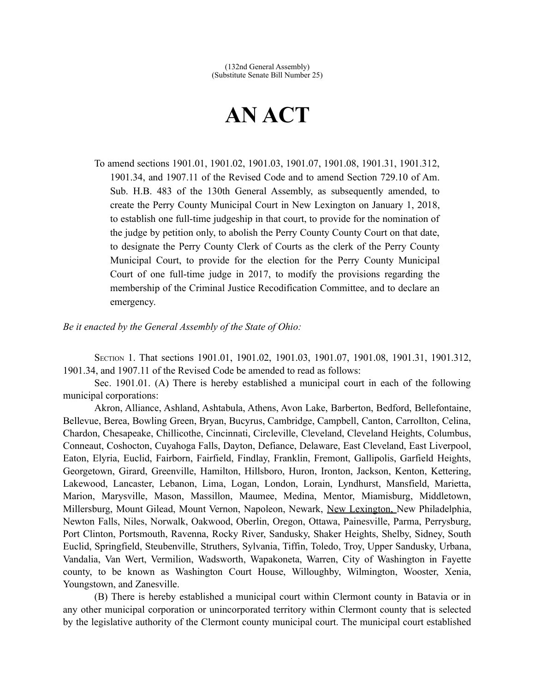## **AN ACT**

To amend sections 1901.01, 1901.02, 1901.03, 1901.07, 1901.08, 1901.31, 1901.312, 1901.34, and 1907.11 of the Revised Code and to amend Section 729.10 of Am. Sub. H.B. 483 of the 130th General Assembly, as subsequently amended, to create the Perry County Municipal Court in New Lexington on January 1, 2018, to establish one full-time judgeship in that court, to provide for the nomination of the judge by petition only, to abolish the Perry County County Court on that date, to designate the Perry County Clerk of Courts as the clerk of the Perry County Municipal Court, to provide for the election for the Perry County Municipal Court of one full-time judge in 2017, to modify the provisions regarding the membership of the Criminal Justice Recodification Committee, and to declare an emergency.

*Be it enacted by the General Assembly of the State of Ohio:*

SECTION 1. That sections 1901.01, 1901.02, 1901.03, 1901.07, 1901.08, 1901.31, 1901.312, 1901.34, and 1907.11 of the Revised Code be amended to read as follows:

Sec. 1901.01. (A) There is hereby established a municipal court in each of the following municipal corporations:

Akron, Alliance, Ashland, Ashtabula, Athens, Avon Lake, Barberton, Bedford, Bellefontaine, Bellevue, Berea, Bowling Green, Bryan, Bucyrus, Cambridge, Campbell, Canton, Carrollton, Celina, Chardon, Chesapeake, Chillicothe, Cincinnati, Circleville, Cleveland, Cleveland Heights, Columbus, Conneaut, Coshocton, Cuyahoga Falls, Dayton, Defiance, Delaware, East Cleveland, East Liverpool, Eaton, Elyria, Euclid, Fairborn, Fairfield, Findlay, Franklin, Fremont, Gallipolis, Garfield Heights, Georgetown, Girard, Greenville, Hamilton, Hillsboro, Huron, Ironton, Jackson, Kenton, Kettering, Lakewood, Lancaster, Lebanon, Lima, Logan, London, Lorain, Lyndhurst, Mansfield, Marietta, Marion, Marysville, Mason, Massillon, Maumee, Medina, Mentor, Miamisburg, Middletown, Millersburg, Mount Gilead, Mount Vernon, Napoleon, Newark, New Lexington, New Philadelphia, Newton Falls, Niles, Norwalk, Oakwood, Oberlin, Oregon, Ottawa, Painesville, Parma, Perrysburg, Port Clinton, Portsmouth, Ravenna, Rocky River, Sandusky, Shaker Heights, Shelby, Sidney, South Euclid, Springfield, Steubenville, Struthers, Sylvania, Tiffin, Toledo, Troy, Upper Sandusky, Urbana, Vandalia, Van Wert, Vermilion, Wadsworth, Wapakoneta, Warren, City of Washington in Fayette county, to be known as Washington Court House, Willoughby, Wilmington, Wooster, Xenia, Youngstown, and Zanesville.

(B) There is hereby established a municipal court within Clermont county in Batavia or in any other municipal corporation or unincorporated territory within Clermont county that is selected by the legislative authority of the Clermont county municipal court. The municipal court established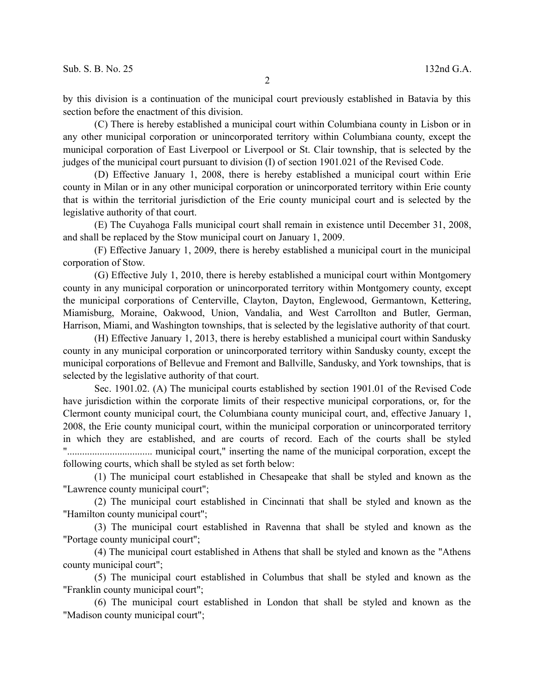by this division is a continuation of the municipal court previously established in Batavia by this section before the enactment of this division.

(C) There is hereby established a municipal court within Columbiana county in Lisbon or in any other municipal corporation or unincorporated territory within Columbiana county, except the municipal corporation of East Liverpool or Liverpool or St. Clair township, that is selected by the judges of the municipal court pursuant to division (I) of section 1901.021 of the Revised Code.

(D) Effective January 1, 2008, there is hereby established a municipal court within Erie county in Milan or in any other municipal corporation or unincorporated territory within Erie county that is within the territorial jurisdiction of the Erie county municipal court and is selected by the legislative authority of that court.

(E) The Cuyahoga Falls municipal court shall remain in existence until December 31, 2008, and shall be replaced by the Stow municipal court on January 1, 2009.

(F) Effective January 1, 2009, there is hereby established a municipal court in the municipal corporation of Stow.

(G) Effective July 1, 2010, there is hereby established a municipal court within Montgomery county in any municipal corporation or unincorporated territory within Montgomery county, except the municipal corporations of Centerville, Clayton, Dayton, Englewood, Germantown, Kettering, Miamisburg, Moraine, Oakwood, Union, Vandalia, and West Carrollton and Butler, German, Harrison, Miami, and Washington townships, that is selected by the legislative authority of that court.

(H) Effective January 1, 2013, there is hereby established a municipal court within Sandusky county in any municipal corporation or unincorporated territory within Sandusky county, except the municipal corporations of Bellevue and Fremont and Ballville, Sandusky, and York townships, that is selected by the legislative authority of that court.

Sec. 1901.02. (A) The municipal courts established by section 1901.01 of the Revised Code have jurisdiction within the corporate limits of their respective municipal corporations, or, for the Clermont county municipal court, the Columbiana county municipal court, and, effective January 1, 2008, the Erie county municipal court, within the municipal corporation or unincorporated territory in which they are established, and are courts of record. Each of the courts shall be styled ".................................. municipal court," inserting the name of the municipal corporation, except the following courts, which shall be styled as set forth below:

(1) The municipal court established in Chesapeake that shall be styled and known as the "Lawrence county municipal court";

(2) The municipal court established in Cincinnati that shall be styled and known as the "Hamilton county municipal court";

(3) The municipal court established in Ravenna that shall be styled and known as the "Portage county municipal court";

(4) The municipal court established in Athens that shall be styled and known as the "Athens county municipal court";

(5) The municipal court established in Columbus that shall be styled and known as the "Franklin county municipal court";

(6) The municipal court established in London that shall be styled and known as the "Madison county municipal court";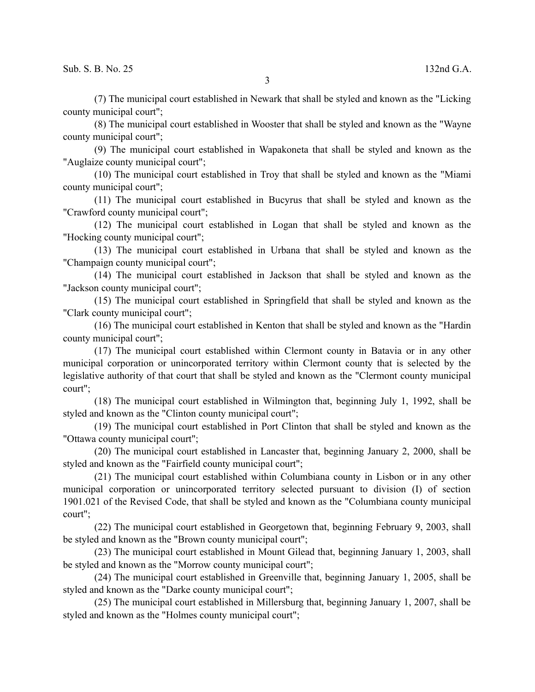3

(7) The municipal court established in Newark that shall be styled and known as the "Licking county municipal court";

(8) The municipal court established in Wooster that shall be styled and known as the "Wayne county municipal court";

(9) The municipal court established in Wapakoneta that shall be styled and known as the "Auglaize county municipal court";

(10) The municipal court established in Troy that shall be styled and known as the "Miami county municipal court";

(11) The municipal court established in Bucyrus that shall be styled and known as the "Crawford county municipal court";

(12) The municipal court established in Logan that shall be styled and known as the "Hocking county municipal court";

(13) The municipal court established in Urbana that shall be styled and known as the "Champaign county municipal court";

(14) The municipal court established in Jackson that shall be styled and known as the "Jackson county municipal court";

(15) The municipal court established in Springfield that shall be styled and known as the "Clark county municipal court";

(16) The municipal court established in Kenton that shall be styled and known as the "Hardin county municipal court";

(17) The municipal court established within Clermont county in Batavia or in any other municipal corporation or unincorporated territory within Clermont county that is selected by the legislative authority of that court that shall be styled and known as the "Clermont county municipal court";

(18) The municipal court established in Wilmington that, beginning July 1, 1992, shall be styled and known as the "Clinton county municipal court";

(19) The municipal court established in Port Clinton that shall be styled and known as the "Ottawa county municipal court";

(20) The municipal court established in Lancaster that, beginning January 2, 2000, shall be styled and known as the "Fairfield county municipal court";

(21) The municipal court established within Columbiana county in Lisbon or in any other municipal corporation or unincorporated territory selected pursuant to division (I) of section 1901.021 of the Revised Code, that shall be styled and known as the "Columbiana county municipal court";

(22) The municipal court established in Georgetown that, beginning February 9, 2003, shall be styled and known as the "Brown county municipal court";

(23) The municipal court established in Mount Gilead that, beginning January 1, 2003, shall be styled and known as the "Morrow county municipal court";

(24) The municipal court established in Greenville that, beginning January 1, 2005, shall be styled and known as the "Darke county municipal court";

(25) The municipal court established in Millersburg that, beginning January 1, 2007, shall be styled and known as the "Holmes county municipal court";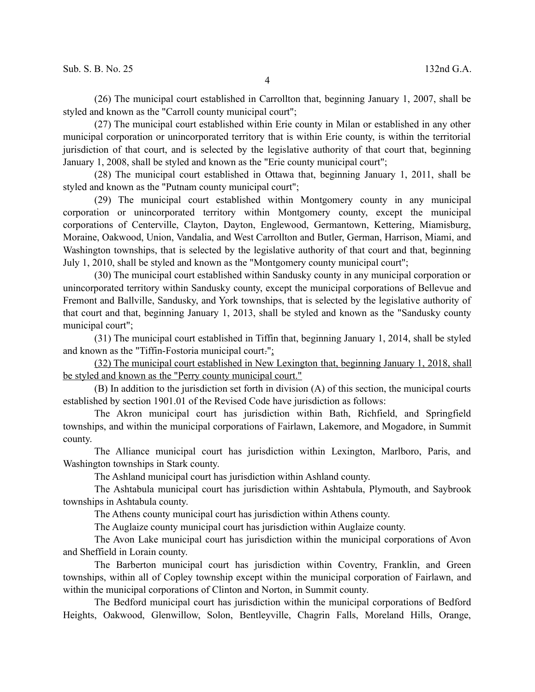(26) The municipal court established in Carrollton that, beginning January 1, 2007, shall be styled and known as the "Carroll county municipal court";

(27) The municipal court established within Erie county in Milan or established in any other municipal corporation or unincorporated territory that is within Erie county, is within the territorial jurisdiction of that court, and is selected by the legislative authority of that court that, beginning January 1, 2008, shall be styled and known as the "Erie county municipal court";

(28) The municipal court established in Ottawa that, beginning January 1, 2011, shall be styled and known as the "Putnam county municipal court";

(29) The municipal court established within Montgomery county in any municipal corporation or unincorporated territory within Montgomery county, except the municipal corporations of Centerville, Clayton, Dayton, Englewood, Germantown, Kettering, Miamisburg, Moraine, Oakwood, Union, Vandalia, and West Carrollton and Butler, German, Harrison, Miami, and Washington townships, that is selected by the legislative authority of that court and that, beginning July 1, 2010, shall be styled and known as the "Montgomery county municipal court";

(30) The municipal court established within Sandusky county in any municipal corporation or unincorporated territory within Sandusky county, except the municipal corporations of Bellevue and Fremont and Ballville, Sandusky, and York townships, that is selected by the legislative authority of that court and that, beginning January 1, 2013, shall be styled and known as the "Sandusky county municipal court";

(31) The municipal court established in Tiffin that, beginning January 1, 2014, shall be styled and known as the "Tiffin-Fostoria municipal court.";

 $(32)$  The municipal court established in New Lexington that, beginning January 1, 2018, shall be styled and known as the "Perry county municipal court."

(B) In addition to the jurisdiction set forth in division (A) of this section, the municipal courts established by section 1901.01 of the Revised Code have jurisdiction as follows:

The Akron municipal court has jurisdiction within Bath, Richfield, and Springfield townships, and within the municipal corporations of Fairlawn, Lakemore, and Mogadore, in Summit county.

The Alliance municipal court has jurisdiction within Lexington, Marlboro, Paris, and Washington townships in Stark county.

The Ashland municipal court has jurisdiction within Ashland county.

The Ashtabula municipal court has jurisdiction within Ashtabula, Plymouth, and Saybrook townships in Ashtabula county.

The Athens county municipal court has jurisdiction within Athens county.

The Auglaize county municipal court has jurisdiction within Auglaize county.

The Avon Lake municipal court has jurisdiction within the municipal corporations of Avon and Sheffield in Lorain county.

The Barberton municipal court has jurisdiction within Coventry, Franklin, and Green townships, within all of Copley township except within the municipal corporation of Fairlawn, and within the municipal corporations of Clinton and Norton, in Summit county.

The Bedford municipal court has jurisdiction within the municipal corporations of Bedford Heights, Oakwood, Glenwillow, Solon, Bentleyville, Chagrin Falls, Moreland Hills, Orange,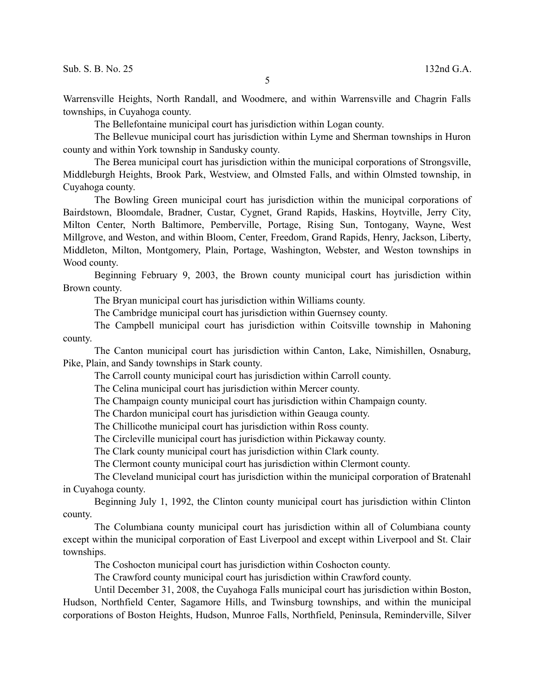Warrensville Heights, North Randall, and Woodmere, and within Warrensville and Chagrin Falls townships, in Cuyahoga county.

The Bellefontaine municipal court has jurisdiction within Logan county.

The Bellevue municipal court has jurisdiction within Lyme and Sherman townships in Huron county and within York township in Sandusky county.

The Berea municipal court has jurisdiction within the municipal corporations of Strongsville, Middleburgh Heights, Brook Park, Westview, and Olmsted Falls, and within Olmsted township, in Cuyahoga county.

The Bowling Green municipal court has jurisdiction within the municipal corporations of Bairdstown, Bloomdale, Bradner, Custar, Cygnet, Grand Rapids, Haskins, Hoytville, Jerry City, Milton Center, North Baltimore, Pemberville, Portage, Rising Sun, Tontogany, Wayne, West Millgrove, and Weston, and within Bloom, Center, Freedom, Grand Rapids, Henry, Jackson, Liberty, Middleton, Milton, Montgomery, Plain, Portage, Washington, Webster, and Weston townships in Wood county.

Beginning February 9, 2003, the Brown county municipal court has jurisdiction within Brown county.

The Bryan municipal court has jurisdiction within Williams county.

The Cambridge municipal court has jurisdiction within Guernsey county.

The Campbell municipal court has jurisdiction within Coitsville township in Mahoning county.

The Canton municipal court has jurisdiction within Canton, Lake, Nimishillen, Osnaburg, Pike, Plain, and Sandy townships in Stark county.

The Carroll county municipal court has jurisdiction within Carroll county.

The Celina municipal court has jurisdiction within Mercer county.

The Champaign county municipal court has jurisdiction within Champaign county.

The Chardon municipal court has jurisdiction within Geauga county.

The Chillicothe municipal court has jurisdiction within Ross county.

The Circleville municipal court has jurisdiction within Pickaway county.

The Clark county municipal court has jurisdiction within Clark county.

The Clermont county municipal court has jurisdiction within Clermont county.

The Cleveland municipal court has jurisdiction within the municipal corporation of Bratenahl in Cuyahoga county.

Beginning July 1, 1992, the Clinton county municipal court has jurisdiction within Clinton county.

The Columbiana county municipal court has jurisdiction within all of Columbiana county except within the municipal corporation of East Liverpool and except within Liverpool and St. Clair townships.

The Coshocton municipal court has jurisdiction within Coshocton county.

The Crawford county municipal court has jurisdiction within Crawford county.

Until December 31, 2008, the Cuyahoga Falls municipal court has jurisdiction within Boston, Hudson, Northfield Center, Sagamore Hills, and Twinsburg townships, and within the municipal corporations of Boston Heights, Hudson, Munroe Falls, Northfield, Peninsula, Reminderville, Silver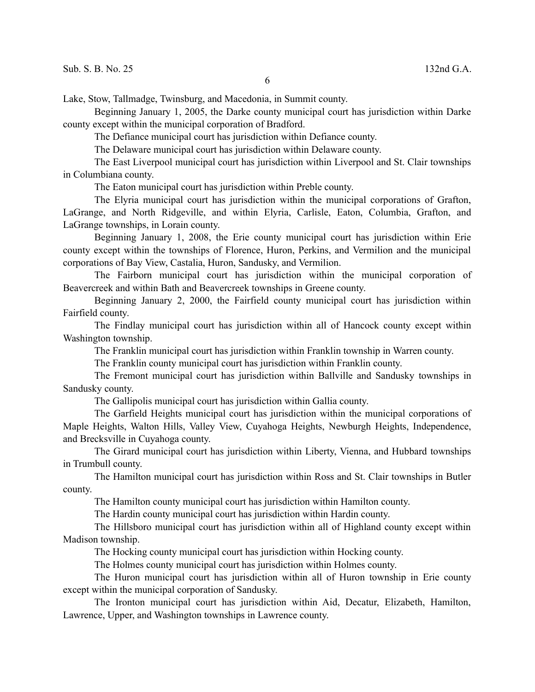Lake, Stow, Tallmadge, Twinsburg, and Macedonia, in Summit county.

Beginning January 1, 2005, the Darke county municipal court has jurisdiction within Darke county except within the municipal corporation of Bradford.

The Defiance municipal court has jurisdiction within Defiance county.

The Delaware municipal court has jurisdiction within Delaware county.

The East Liverpool municipal court has jurisdiction within Liverpool and St. Clair townships in Columbiana county.

The Eaton municipal court has jurisdiction within Preble county.

The Elyria municipal court has jurisdiction within the municipal corporations of Grafton, LaGrange, and North Ridgeville, and within Elyria, Carlisle, Eaton, Columbia, Grafton, and LaGrange townships, in Lorain county.

Beginning January 1, 2008, the Erie county municipal court has jurisdiction within Erie county except within the townships of Florence, Huron, Perkins, and Vermilion and the municipal corporations of Bay View, Castalia, Huron, Sandusky, and Vermilion.

The Fairborn municipal court has jurisdiction within the municipal corporation of Beavercreek and within Bath and Beavercreek townships in Greene county.

Beginning January 2, 2000, the Fairfield county municipal court has jurisdiction within Fairfield county.

The Findlay municipal court has jurisdiction within all of Hancock county except within Washington township.

The Franklin municipal court has jurisdiction within Franklin township in Warren county.

The Franklin county municipal court has jurisdiction within Franklin county.

The Fremont municipal court has jurisdiction within Ballville and Sandusky townships in Sandusky county.

The Gallipolis municipal court has jurisdiction within Gallia county.

The Garfield Heights municipal court has jurisdiction within the municipal corporations of Maple Heights, Walton Hills, Valley View, Cuyahoga Heights, Newburgh Heights, Independence, and Brecksville in Cuyahoga county.

The Girard municipal court has jurisdiction within Liberty, Vienna, and Hubbard townships in Trumbull county.

The Hamilton municipal court has jurisdiction within Ross and St. Clair townships in Butler county.

The Hamilton county municipal court has jurisdiction within Hamilton county.

The Hardin county municipal court has jurisdiction within Hardin county.

The Hillsboro municipal court has jurisdiction within all of Highland county except within Madison township.

The Hocking county municipal court has jurisdiction within Hocking county.

The Holmes county municipal court has jurisdiction within Holmes county.

The Huron municipal court has jurisdiction within all of Huron township in Erie county except within the municipal corporation of Sandusky.

The Ironton municipal court has jurisdiction within Aid, Decatur, Elizabeth, Hamilton, Lawrence, Upper, and Washington townships in Lawrence county.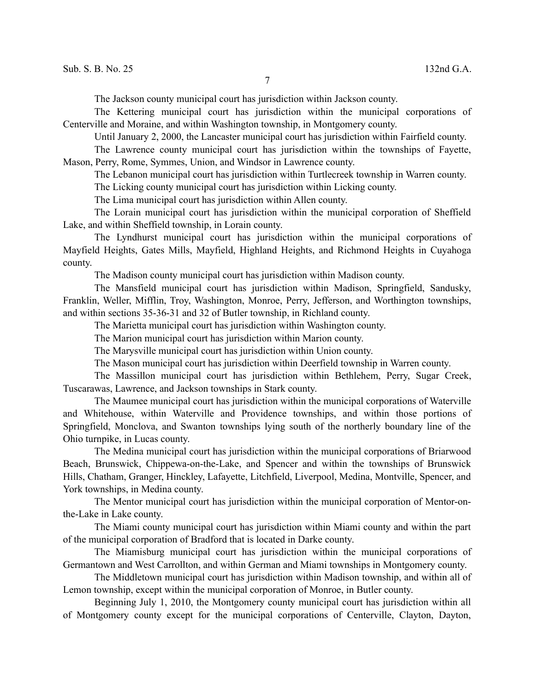The Jackson county municipal court has jurisdiction within Jackson county.

The Kettering municipal court has jurisdiction within the municipal corporations of Centerville and Moraine, and within Washington township, in Montgomery county.

Until January 2, 2000, the Lancaster municipal court has jurisdiction within Fairfield county.

The Lawrence county municipal court has jurisdiction within the townships of Fayette, Mason, Perry, Rome, Symmes, Union, and Windsor in Lawrence county.

The Lebanon municipal court has jurisdiction within Turtlecreek township in Warren county.

The Licking county municipal court has jurisdiction within Licking county.

The Lima municipal court has jurisdiction within Allen county.

The Lorain municipal court has jurisdiction within the municipal corporation of Sheffield Lake, and within Sheffield township, in Lorain county.

The Lyndhurst municipal court has jurisdiction within the municipal corporations of Mayfield Heights, Gates Mills, Mayfield, Highland Heights, and Richmond Heights in Cuyahoga county.

The Madison county municipal court has jurisdiction within Madison county.

The Mansfield municipal court has jurisdiction within Madison, Springfield, Sandusky, Franklin, Weller, Mifflin, Troy, Washington, Monroe, Perry, Jefferson, and Worthington townships, and within sections 35-36-31 and 32 of Butler township, in Richland county.

The Marietta municipal court has jurisdiction within Washington county.

The Marion municipal court has jurisdiction within Marion county.

The Marysville municipal court has jurisdiction within Union county.

The Mason municipal court has jurisdiction within Deerfield township in Warren county.

The Massillon municipal court has jurisdiction within Bethlehem, Perry, Sugar Creek, Tuscarawas, Lawrence, and Jackson townships in Stark county.

The Maumee municipal court has jurisdiction within the municipal corporations of Waterville and Whitehouse, within Waterville and Providence townships, and within those portions of Springfield, Monclova, and Swanton townships lying south of the northerly boundary line of the Ohio turnpike, in Lucas county.

The Medina municipal court has jurisdiction within the municipal corporations of Briarwood Beach, Brunswick, Chippewa-on-the-Lake, and Spencer and within the townships of Brunswick Hills, Chatham, Granger, Hinckley, Lafayette, Litchfield, Liverpool, Medina, Montville, Spencer, and York townships, in Medina county.

The Mentor municipal court has jurisdiction within the municipal corporation of Mentor-onthe-Lake in Lake county.

The Miami county municipal court has jurisdiction within Miami county and within the part of the municipal corporation of Bradford that is located in Darke county.

The Miamisburg municipal court has jurisdiction within the municipal corporations of Germantown and West Carrollton, and within German and Miami townships in Montgomery county.

The Middletown municipal court has jurisdiction within Madison township, and within all of Lemon township, except within the municipal corporation of Monroe, in Butler county.

Beginning July 1, 2010, the Montgomery county municipal court has jurisdiction within all of Montgomery county except for the municipal corporations of Centerville, Clayton, Dayton,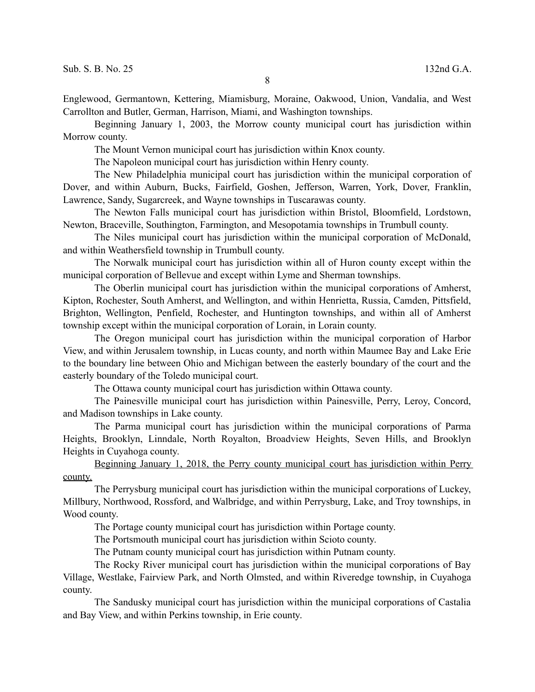Englewood, Germantown, Kettering, Miamisburg, Moraine, Oakwood, Union, Vandalia, and West Carrollton and Butler, German, Harrison, Miami, and Washington townships.

Beginning January 1, 2003, the Morrow county municipal court has jurisdiction within Morrow county.

The Mount Vernon municipal court has jurisdiction within Knox county.

The Napoleon municipal court has jurisdiction within Henry county.

The New Philadelphia municipal court has jurisdiction within the municipal corporation of Dover, and within Auburn, Bucks, Fairfield, Goshen, Jefferson, Warren, York, Dover, Franklin, Lawrence, Sandy, Sugarcreek, and Wayne townships in Tuscarawas county.

The Newton Falls municipal court has jurisdiction within Bristol, Bloomfield, Lordstown, Newton, Braceville, Southington, Farmington, and Mesopotamia townships in Trumbull county.

The Niles municipal court has jurisdiction within the municipal corporation of McDonald, and within Weathersfield township in Trumbull county.

The Norwalk municipal court has jurisdiction within all of Huron county except within the municipal corporation of Bellevue and except within Lyme and Sherman townships.

The Oberlin municipal court has jurisdiction within the municipal corporations of Amherst, Kipton, Rochester, South Amherst, and Wellington, and within Henrietta, Russia, Camden, Pittsfield, Brighton, Wellington, Penfield, Rochester, and Huntington townships, and within all of Amherst township except within the municipal corporation of Lorain, in Lorain county.

The Oregon municipal court has jurisdiction within the municipal corporation of Harbor View, and within Jerusalem township, in Lucas county, and north within Maumee Bay and Lake Erie to the boundary line between Ohio and Michigan between the easterly boundary of the court and the easterly boundary of the Toledo municipal court.

The Ottawa county municipal court has jurisdiction within Ottawa county.

The Painesville municipal court has jurisdiction within Painesville, Perry, Leroy, Concord, and Madison townships in Lake county.

The Parma municipal court has jurisdiction within the municipal corporations of Parma Heights, Brooklyn, Linndale, North Royalton, Broadview Heights, Seven Hills, and Brooklyn Heights in Cuyahoga county.

Beginning January 1, 2018, the Perry county municipal court has jurisdiction within Perry county.

The Perrysburg municipal court has jurisdiction within the municipal corporations of Luckey, Millbury, Northwood, Rossford, and Walbridge, and within Perrysburg, Lake, and Troy townships, in Wood county.

The Portage county municipal court has jurisdiction within Portage county.

The Portsmouth municipal court has jurisdiction within Scioto county.

The Putnam county municipal court has jurisdiction within Putnam county.

The Rocky River municipal court has jurisdiction within the municipal corporations of Bay Village, Westlake, Fairview Park, and North Olmsted, and within Riveredge township, in Cuyahoga county.

The Sandusky municipal court has jurisdiction within the municipal corporations of Castalia and Bay View, and within Perkins township, in Erie county.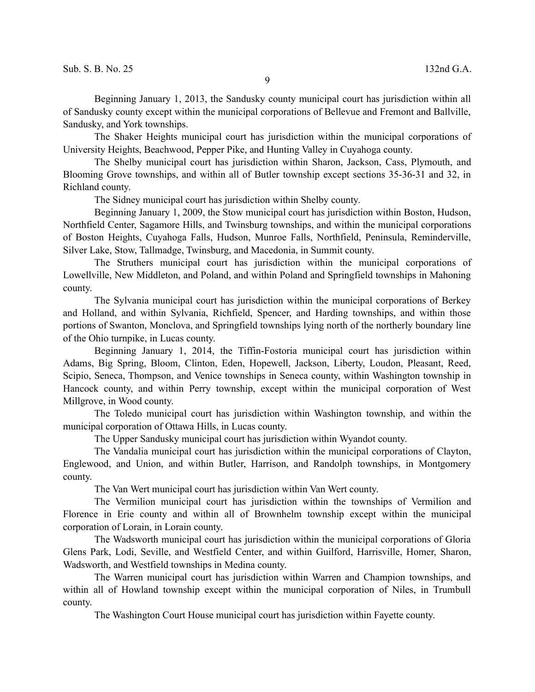Beginning January 1, 2013, the Sandusky county municipal court has jurisdiction within all of Sandusky county except within the municipal corporations of Bellevue and Fremont and Ballville, Sandusky, and York townships.

The Shaker Heights municipal court has jurisdiction within the municipal corporations of University Heights, Beachwood, Pepper Pike, and Hunting Valley in Cuyahoga county.

The Shelby municipal court has jurisdiction within Sharon, Jackson, Cass, Plymouth, and Blooming Grove townships, and within all of Butler township except sections 35-36-31 and 32, in Richland county.

The Sidney municipal court has jurisdiction within Shelby county.

Beginning January 1, 2009, the Stow municipal court has jurisdiction within Boston, Hudson, Northfield Center, Sagamore Hills, and Twinsburg townships, and within the municipal corporations of Boston Heights, Cuyahoga Falls, Hudson, Munroe Falls, Northfield, Peninsula, Reminderville, Silver Lake, Stow, Tallmadge, Twinsburg, and Macedonia, in Summit county.

The Struthers municipal court has jurisdiction within the municipal corporations of Lowellville, New Middleton, and Poland, and within Poland and Springfield townships in Mahoning county.

The Sylvania municipal court has jurisdiction within the municipal corporations of Berkey and Holland, and within Sylvania, Richfield, Spencer, and Harding townships, and within those portions of Swanton, Monclova, and Springfield townships lying north of the northerly boundary line of the Ohio turnpike, in Lucas county.

Beginning January 1, 2014, the Tiffin-Fostoria municipal court has jurisdiction within Adams, Big Spring, Bloom, Clinton, Eden, Hopewell, Jackson, Liberty, Loudon, Pleasant, Reed, Scipio, Seneca, Thompson, and Venice townships in Seneca county, within Washington township in Hancock county, and within Perry township, except within the municipal corporation of West Millgrove, in Wood county.

The Toledo municipal court has jurisdiction within Washington township, and within the municipal corporation of Ottawa Hills, in Lucas county.

The Upper Sandusky municipal court has jurisdiction within Wyandot county.

The Vandalia municipal court has jurisdiction within the municipal corporations of Clayton, Englewood, and Union, and within Butler, Harrison, and Randolph townships, in Montgomery county.

The Van Wert municipal court has jurisdiction within Van Wert county.

The Vermilion municipal court has jurisdiction within the townships of Vermilion and Florence in Erie county and within all of Brownhelm township except within the municipal corporation of Lorain, in Lorain county.

The Wadsworth municipal court has jurisdiction within the municipal corporations of Gloria Glens Park, Lodi, Seville, and Westfield Center, and within Guilford, Harrisville, Homer, Sharon, Wadsworth, and Westfield townships in Medina county.

The Warren municipal court has jurisdiction within Warren and Champion townships, and within all of Howland township except within the municipal corporation of Niles, in Trumbull county.

The Washington Court House municipal court has jurisdiction within Fayette county.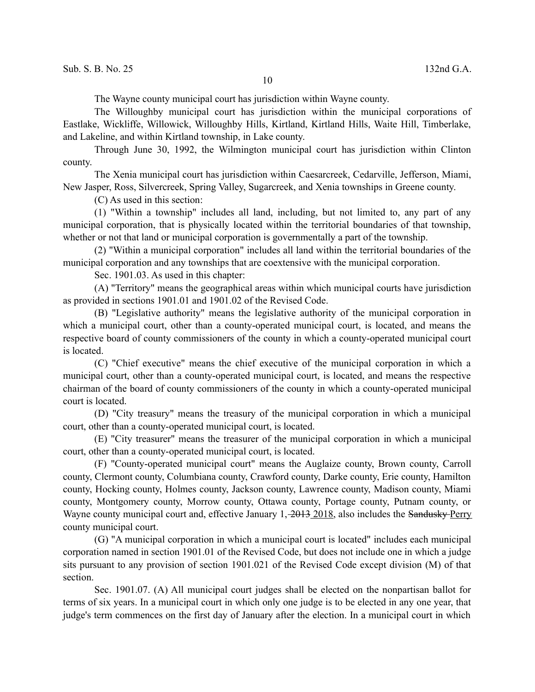The Wayne county municipal court has jurisdiction within Wayne county.

The Willoughby municipal court has jurisdiction within the municipal corporations of Eastlake, Wickliffe, Willowick, Willoughby Hills, Kirtland, Kirtland Hills, Waite Hill, Timberlake, and Lakeline, and within Kirtland township, in Lake county.

Through June 30, 1992, the Wilmington municipal court has jurisdiction within Clinton county.

The Xenia municipal court has jurisdiction within Caesarcreek, Cedarville, Jefferson, Miami, New Jasper, Ross, Silvercreek, Spring Valley, Sugarcreek, and Xenia townships in Greene county.

(C) As used in this section:

(1) "Within a township" includes all land, including, but not limited to, any part of any municipal corporation, that is physically located within the territorial boundaries of that township, whether or not that land or municipal corporation is governmentally a part of the township.

(2) "Within a municipal corporation" includes all land within the territorial boundaries of the municipal corporation and any townships that are coextensive with the municipal corporation.

Sec. 1901.03. As used in this chapter:

(A) "Territory" means the geographical areas within which municipal courts have jurisdiction as provided in sections 1901.01 and 1901.02 of the Revised Code.

(B) "Legislative authority" means the legislative authority of the municipal corporation in which a municipal court, other than a county-operated municipal court, is located, and means the respective board of county commissioners of the county in which a county-operated municipal court is located.

(C) "Chief executive" means the chief executive of the municipal corporation in which a municipal court, other than a county-operated municipal court, is located, and means the respective chairman of the board of county commissioners of the county in which a county-operated municipal court is located.

(D) "City treasury" means the treasury of the municipal corporation in which a municipal court, other than a county-operated municipal court, is located.

(E) "City treasurer" means the treasurer of the municipal corporation in which a municipal court, other than a county-operated municipal court, is located.

(F) "County-operated municipal court" means the Auglaize county, Brown county, Carroll county, Clermont county, Columbiana county, Crawford county, Darke county, Erie county, Hamilton county, Hocking county, Holmes county, Jackson county, Lawrence county, Madison county, Miami county, Montgomery county, Morrow county, Ottawa county, Portage county, Putnam county, or Wayne county municipal court and, effective January 1, 2013 2018, also includes the Sandusky Perry county municipal court.

(G) "A municipal corporation in which a municipal court is located" includes each municipal corporation named in section 1901.01 of the Revised Code, but does not include one in which a judge sits pursuant to any provision of section 1901.021 of the Revised Code except division (M) of that section.

Sec. 1901.07. (A) All municipal court judges shall be elected on the nonpartisan ballot for terms of six years. In a municipal court in which only one judge is to be elected in any one year, that judge's term commences on the first day of January after the election. In a municipal court in which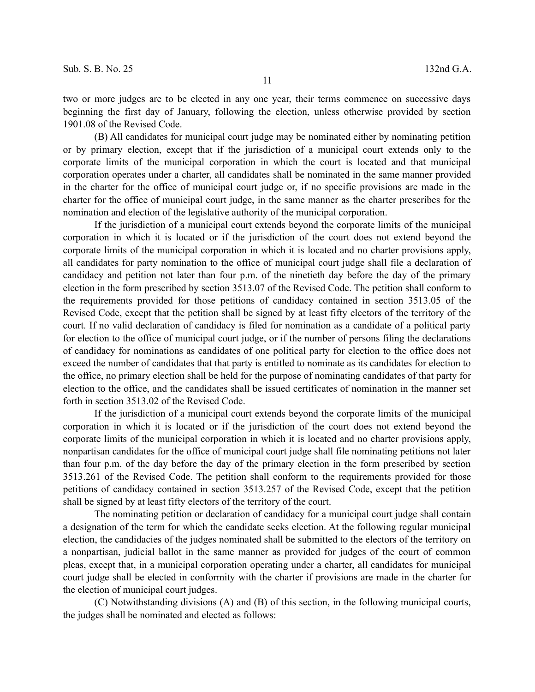two or more judges are to be elected in any one year, their terms commence on successive days beginning the first day of January, following the election, unless otherwise provided by section 1901.08 of the Revised Code.

(B) All candidates for municipal court judge may be nominated either by nominating petition or by primary election, except that if the jurisdiction of a municipal court extends only to the corporate limits of the municipal corporation in which the court is located and that municipal corporation operates under a charter, all candidates shall be nominated in the same manner provided in the charter for the office of municipal court judge or, if no specific provisions are made in the charter for the office of municipal court judge, in the same manner as the charter prescribes for the nomination and election of the legislative authority of the municipal corporation.

If the jurisdiction of a municipal court extends beyond the corporate limits of the municipal corporation in which it is located or if the jurisdiction of the court does not extend beyond the corporate limits of the municipal corporation in which it is located and no charter provisions apply, all candidates for party nomination to the office of municipal court judge shall file a declaration of candidacy and petition not later than four p.m. of the ninetieth day before the day of the primary election in the form prescribed by section 3513.07 of the Revised Code. The petition shall conform to the requirements provided for those petitions of candidacy contained in section 3513.05 of the Revised Code, except that the petition shall be signed by at least fifty electors of the territory of the court. If no valid declaration of candidacy is filed for nomination as a candidate of a political party for election to the office of municipal court judge, or if the number of persons filing the declarations of candidacy for nominations as candidates of one political party for election to the office does not exceed the number of candidates that that party is entitled to nominate as its candidates for election to the office, no primary election shall be held for the purpose of nominating candidates of that party for election to the office, and the candidates shall be issued certificates of nomination in the manner set forth in section 3513.02 of the Revised Code.

If the jurisdiction of a municipal court extends beyond the corporate limits of the municipal corporation in which it is located or if the jurisdiction of the court does not extend beyond the corporate limits of the municipal corporation in which it is located and no charter provisions apply, nonpartisan candidates for the office of municipal court judge shall file nominating petitions not later than four p.m. of the day before the day of the primary election in the form prescribed by section 3513.261 of the Revised Code. The petition shall conform to the requirements provided for those petitions of candidacy contained in section 3513.257 of the Revised Code, except that the petition shall be signed by at least fifty electors of the territory of the court.

The nominating petition or declaration of candidacy for a municipal court judge shall contain a designation of the term for which the candidate seeks election. At the following regular municipal election, the candidacies of the judges nominated shall be submitted to the electors of the territory on a nonpartisan, judicial ballot in the same manner as provided for judges of the court of common pleas, except that, in a municipal corporation operating under a charter, all candidates for municipal court judge shall be elected in conformity with the charter if provisions are made in the charter for the election of municipal court judges.

(C) Notwithstanding divisions (A) and (B) of this section, in the following municipal courts, the judges shall be nominated and elected as follows: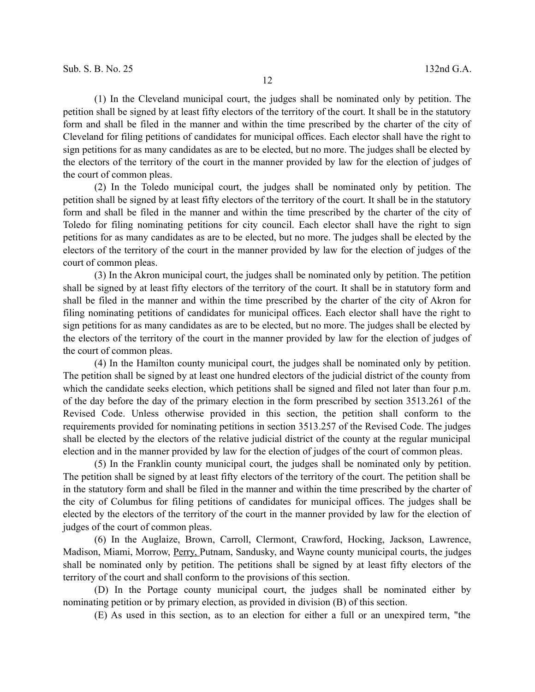(1) In the Cleveland municipal court, the judges shall be nominated only by petition. The petition shall be signed by at least fifty electors of the territory of the court. It shall be in the statutory form and shall be filed in the manner and within the time prescribed by the charter of the city of Cleveland for filing petitions of candidates for municipal offices. Each elector shall have the right to sign petitions for as many candidates as are to be elected, but no more. The judges shall be elected by the electors of the territory of the court in the manner provided by law for the election of judges of the court of common pleas.

(2) In the Toledo municipal court, the judges shall be nominated only by petition. The petition shall be signed by at least fifty electors of the territory of the court. It shall be in the statutory form and shall be filed in the manner and within the time prescribed by the charter of the city of Toledo for filing nominating petitions for city council. Each elector shall have the right to sign petitions for as many candidates as are to be elected, but no more. The judges shall be elected by the electors of the territory of the court in the manner provided by law for the election of judges of the court of common pleas.

(3) In the Akron municipal court, the judges shall be nominated only by petition. The petition shall be signed by at least fifty electors of the territory of the court. It shall be in statutory form and shall be filed in the manner and within the time prescribed by the charter of the city of Akron for filing nominating petitions of candidates for municipal offices. Each elector shall have the right to sign petitions for as many candidates as are to be elected, but no more. The judges shall be elected by the electors of the territory of the court in the manner provided by law for the election of judges of the court of common pleas.

(4) In the Hamilton county municipal court, the judges shall be nominated only by petition. The petition shall be signed by at least one hundred electors of the judicial district of the county from which the candidate seeks election, which petitions shall be signed and filed not later than four p.m. of the day before the day of the primary election in the form prescribed by section 3513.261 of the Revised Code. Unless otherwise provided in this section, the petition shall conform to the requirements provided for nominating petitions in section 3513.257 of the Revised Code. The judges shall be elected by the electors of the relative judicial district of the county at the regular municipal election and in the manner provided by law for the election of judges of the court of common pleas.

(5) In the Franklin county municipal court, the judges shall be nominated only by petition. The petition shall be signed by at least fifty electors of the territory of the court. The petition shall be in the statutory form and shall be filed in the manner and within the time prescribed by the charter of the city of Columbus for filing petitions of candidates for municipal offices. The judges shall be elected by the electors of the territory of the court in the manner provided by law for the election of judges of the court of common pleas.

(6) In the Auglaize, Brown, Carroll, Clermont, Crawford, Hocking, Jackson, Lawrence, Madison, Miami, Morrow, Perry, Putnam, Sandusky, and Wayne county municipal courts, the judges shall be nominated only by petition. The petitions shall be signed by at least fifty electors of the territory of the court and shall conform to the provisions of this section.

(D) In the Portage county municipal court, the judges shall be nominated either by nominating petition or by primary election, as provided in division (B) of this section.

(E) As used in this section, as to an election for either a full or an unexpired term, "the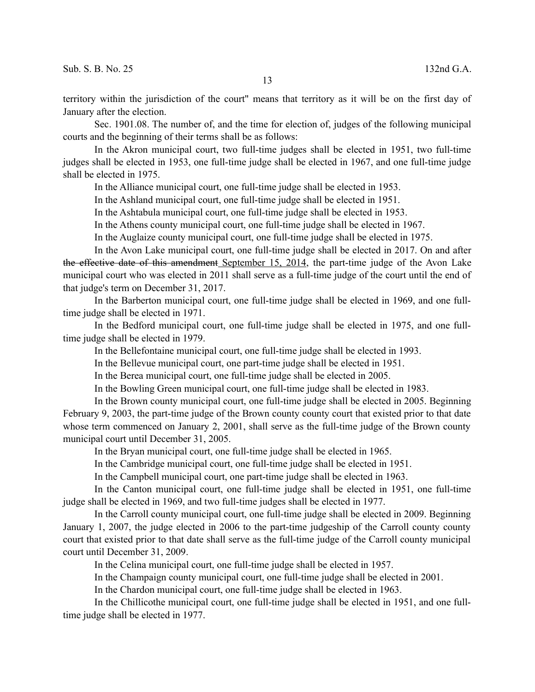territory within the jurisdiction of the court" means that territory as it will be on the first day of January after the election.

Sec. 1901.08. The number of, and the time for election of, judges of the following municipal courts and the beginning of their terms shall be as follows:

In the Akron municipal court, two full-time judges shall be elected in 1951, two full-time judges shall be elected in 1953, one full-time judge shall be elected in 1967, and one full-time judge shall be elected in 1975.

In the Alliance municipal court, one full-time judge shall be elected in 1953.

In the Ashland municipal court, one full-time judge shall be elected in 1951.

In the Ashtabula municipal court, one full-time judge shall be elected in 1953.

In the Athens county municipal court, one full-time judge shall be elected in 1967.

In the Auglaize county municipal court, one full-time judge shall be elected in 1975.

In the Avon Lake municipal court, one full-time judge shall be elected in 2017. On and after the effective date of this amendment September 15, 2014, the part-time judge of the Avon Lake municipal court who was elected in 2011 shall serve as a full-time judge of the court until the end of that judge's term on December 31, 2017.

In the Barberton municipal court, one full-time judge shall be elected in 1969, and one fulltime judge shall be elected in 1971.

In the Bedford municipal court, one full-time judge shall be elected in 1975, and one fulltime judge shall be elected in 1979.

In the Bellefontaine municipal court, one full-time judge shall be elected in 1993.

In the Bellevue municipal court, one part-time judge shall be elected in 1951.

In the Berea municipal court, one full-time judge shall be elected in 2005.

In the Bowling Green municipal court, one full-time judge shall be elected in 1983.

In the Brown county municipal court, one full-time judge shall be elected in 2005. Beginning February 9, 2003, the part-time judge of the Brown county county court that existed prior to that date whose term commenced on January 2, 2001, shall serve as the full-time judge of the Brown county municipal court until December 31, 2005.

In the Bryan municipal court, one full-time judge shall be elected in 1965.

In the Cambridge municipal court, one full-time judge shall be elected in 1951.

In the Campbell municipal court, one part-time judge shall be elected in 1963.

In the Canton municipal court, one full-time judge shall be elected in 1951, one full-time judge shall be elected in 1969, and two full-time judges shall be elected in 1977.

In the Carroll county municipal court, one full-time judge shall be elected in 2009. Beginning January 1, 2007, the judge elected in 2006 to the part-time judgeship of the Carroll county county court that existed prior to that date shall serve as the full-time judge of the Carroll county municipal court until December 31, 2009.

In the Celina municipal court, one full-time judge shall be elected in 1957.

In the Champaign county municipal court, one full-time judge shall be elected in 2001.

In the Chardon municipal court, one full-time judge shall be elected in 1963.

In the Chillicothe municipal court, one full-time judge shall be elected in 1951, and one fulltime judge shall be elected in 1977.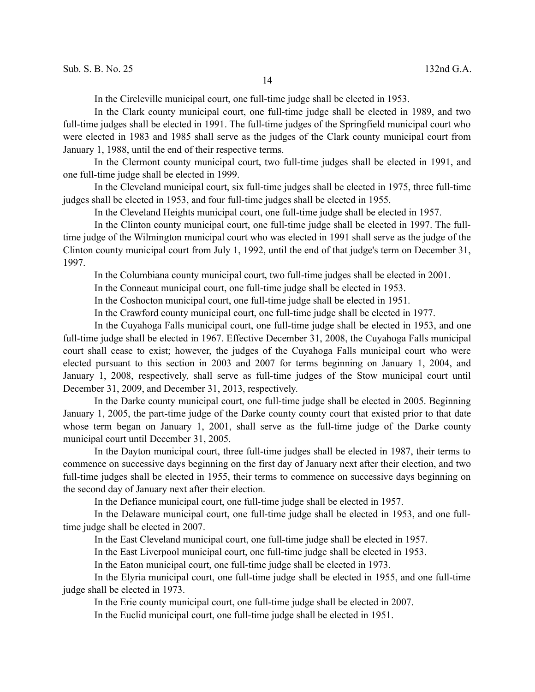In the Circleville municipal court, one full-time judge shall be elected in 1953.

In the Clark county municipal court, one full-time judge shall be elected in 1989, and two full-time judges shall be elected in 1991. The full-time judges of the Springfield municipal court who were elected in 1983 and 1985 shall serve as the judges of the Clark county municipal court from January 1, 1988, until the end of their respective terms.

In the Clermont county municipal court, two full-time judges shall be elected in 1991, and one full-time judge shall be elected in 1999.

In the Cleveland municipal court, six full-time judges shall be elected in 1975, three full-time judges shall be elected in 1953, and four full-time judges shall be elected in 1955.

In the Cleveland Heights municipal court, one full-time judge shall be elected in 1957.

In the Clinton county municipal court, one full-time judge shall be elected in 1997. The fulltime judge of the Wilmington municipal court who was elected in 1991 shall serve as the judge of the Clinton county municipal court from July 1, 1992, until the end of that judge's term on December 31, 1997.

In the Columbiana county municipal court, two full-time judges shall be elected in 2001.

In the Conneaut municipal court, one full-time judge shall be elected in 1953.

In the Coshocton municipal court, one full-time judge shall be elected in 1951.

In the Crawford county municipal court, one full-time judge shall be elected in 1977.

In the Cuyahoga Falls municipal court, one full-time judge shall be elected in 1953, and one full-time judge shall be elected in 1967. Effective December 31, 2008, the Cuyahoga Falls municipal court shall cease to exist; however, the judges of the Cuyahoga Falls municipal court who were elected pursuant to this section in 2003 and 2007 for terms beginning on January 1, 2004, and January 1, 2008, respectively, shall serve as full-time judges of the Stow municipal court until December 31, 2009, and December 31, 2013, respectively.

In the Darke county municipal court, one full-time judge shall be elected in 2005. Beginning January 1, 2005, the part-time judge of the Darke county county court that existed prior to that date whose term began on January 1, 2001, shall serve as the full-time judge of the Darke county municipal court until December 31, 2005.

In the Dayton municipal court, three full-time judges shall be elected in 1987, their terms to commence on successive days beginning on the first day of January next after their election, and two full-time judges shall be elected in 1955, their terms to commence on successive days beginning on the second day of January next after their election.

In the Defiance municipal court, one full-time judge shall be elected in 1957.

In the Delaware municipal court, one full-time judge shall be elected in 1953, and one fulltime judge shall be elected in 2007.

In the East Cleveland municipal court, one full-time judge shall be elected in 1957.

In the East Liverpool municipal court, one full-time judge shall be elected in 1953.

In the Eaton municipal court, one full-time judge shall be elected in 1973.

In the Elyria municipal court, one full-time judge shall be elected in 1955, and one full-time judge shall be elected in 1973.

In the Erie county municipal court, one full-time judge shall be elected in 2007.

In the Euclid municipal court, one full-time judge shall be elected in 1951.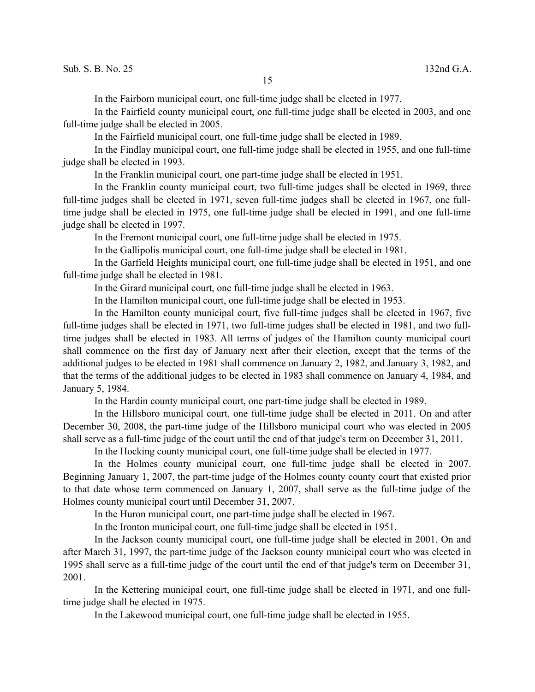In the Fairborn municipal court, one full-time judge shall be elected in 1977.

In the Fairfield county municipal court, one full-time judge shall be elected in 2003, and one full-time judge shall be elected in 2005.

In the Fairfield municipal court, one full-time judge shall be elected in 1989.

In the Findlay municipal court, one full-time judge shall be elected in 1955, and one full-time judge shall be elected in 1993.

In the Franklin municipal court, one part-time judge shall be elected in 1951.

In the Franklin county municipal court, two full-time judges shall be elected in 1969, three full-time judges shall be elected in 1971, seven full-time judges shall be elected in 1967, one fulltime judge shall be elected in 1975, one full-time judge shall be elected in 1991, and one full-time judge shall be elected in 1997.

In the Fremont municipal court, one full-time judge shall be elected in 1975.

In the Gallipolis municipal court, one full-time judge shall be elected in 1981.

In the Garfield Heights municipal court, one full-time judge shall be elected in 1951, and one full-time judge shall be elected in 1981.

In the Girard municipal court, one full-time judge shall be elected in 1963.

In the Hamilton municipal court, one full-time judge shall be elected in 1953.

In the Hamilton county municipal court, five full-time judges shall be elected in 1967, five full-time judges shall be elected in 1971, two full-time judges shall be elected in 1981, and two fulltime judges shall be elected in 1983. All terms of judges of the Hamilton county municipal court shall commence on the first day of January next after their election, except that the terms of the additional judges to be elected in 1981 shall commence on January 2, 1982, and January 3, 1982, and that the terms of the additional judges to be elected in 1983 shall commence on January 4, 1984, and January 5, 1984.

In the Hardin county municipal court, one part-time judge shall be elected in 1989.

In the Hillsboro municipal court, one full-time judge shall be elected in 2011. On and after December 30, 2008, the part-time judge of the Hillsboro municipal court who was elected in 2005 shall serve as a full-time judge of the court until the end of that judge's term on December 31, 2011.

In the Hocking county municipal court, one full-time judge shall be elected in 1977.

In the Holmes county municipal court, one full-time judge shall be elected in 2007. Beginning January 1, 2007, the part-time judge of the Holmes county county court that existed prior to that date whose term commenced on January 1, 2007, shall serve as the full-time judge of the Holmes county municipal court until December 31, 2007.

In the Huron municipal court, one part-time judge shall be elected in 1967.

In the Ironton municipal court, one full-time judge shall be elected in 1951.

In the Jackson county municipal court, one full-time judge shall be elected in 2001. On and after March 31, 1997, the part-time judge of the Jackson county municipal court who was elected in 1995 shall serve as a full-time judge of the court until the end of that judge's term on December 31, 2001.

In the Kettering municipal court, one full-time judge shall be elected in 1971, and one fulltime judge shall be elected in 1975.

In the Lakewood municipal court, one full-time judge shall be elected in 1955.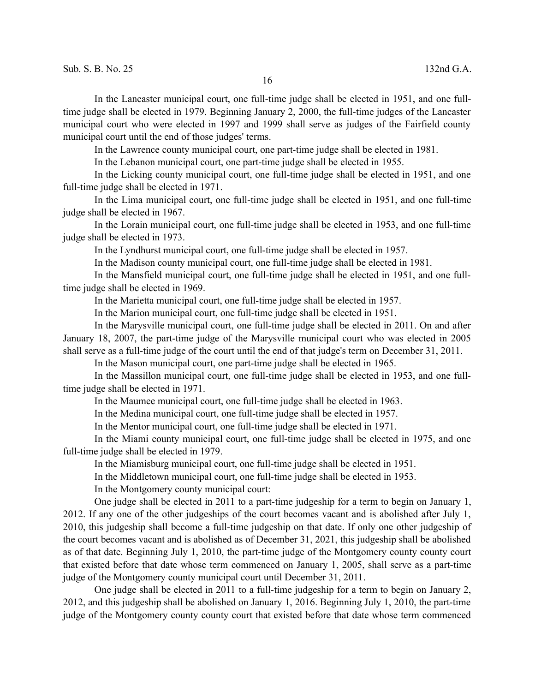In the Lancaster municipal court, one full-time judge shall be elected in 1951, and one fulltime judge shall be elected in 1979. Beginning January 2, 2000, the full-time judges of the Lancaster municipal court who were elected in 1997 and 1999 shall serve as judges of the Fairfield county municipal court until the end of those judges' terms.

In the Lawrence county municipal court, one part-time judge shall be elected in 1981.

In the Lebanon municipal court, one part-time judge shall be elected in 1955.

In the Licking county municipal court, one full-time judge shall be elected in 1951, and one full-time judge shall be elected in 1971.

In the Lima municipal court, one full-time judge shall be elected in 1951, and one full-time judge shall be elected in 1967.

In the Lorain municipal court, one full-time judge shall be elected in 1953, and one full-time judge shall be elected in 1973.

In the Lyndhurst municipal court, one full-time judge shall be elected in 1957.

In the Madison county municipal court, one full-time judge shall be elected in 1981.

In the Mansfield municipal court, one full-time judge shall be elected in 1951, and one fulltime judge shall be elected in 1969.

In the Marietta municipal court, one full-time judge shall be elected in 1957.

In the Marion municipal court, one full-time judge shall be elected in 1951.

In the Marysville municipal court, one full-time judge shall be elected in 2011. On and after January 18, 2007, the part-time judge of the Marysville municipal court who was elected in 2005 shall serve as a full-time judge of the court until the end of that judge's term on December 31, 2011.

In the Mason municipal court, one part-time judge shall be elected in 1965.

In the Massillon municipal court, one full-time judge shall be elected in 1953, and one fulltime judge shall be elected in 1971.

In the Maumee municipal court, one full-time judge shall be elected in 1963.

In the Medina municipal court, one full-time judge shall be elected in 1957.

In the Mentor municipal court, one full-time judge shall be elected in 1971.

In the Miami county municipal court, one full-time judge shall be elected in 1975, and one full-time judge shall be elected in 1979.

In the Miamisburg municipal court, one full-time judge shall be elected in 1951.

In the Middletown municipal court, one full-time judge shall be elected in 1953.

In the Montgomery county municipal court:

One judge shall be elected in 2011 to a part-time judgeship for a term to begin on January 1, 2012. If any one of the other judgeships of the court becomes vacant and is abolished after July 1, 2010, this judgeship shall become a full-time judgeship on that date. If only one other judgeship of the court becomes vacant and is abolished as of December 31, 2021, this judgeship shall be abolished as of that date. Beginning July 1, 2010, the part-time judge of the Montgomery county county court that existed before that date whose term commenced on January 1, 2005, shall serve as a part-time judge of the Montgomery county municipal court until December 31, 2011.

One judge shall be elected in 2011 to a full-time judgeship for a term to begin on January 2, 2012, and this judgeship shall be abolished on January 1, 2016. Beginning July 1, 2010, the part-time judge of the Montgomery county county court that existed before that date whose term commenced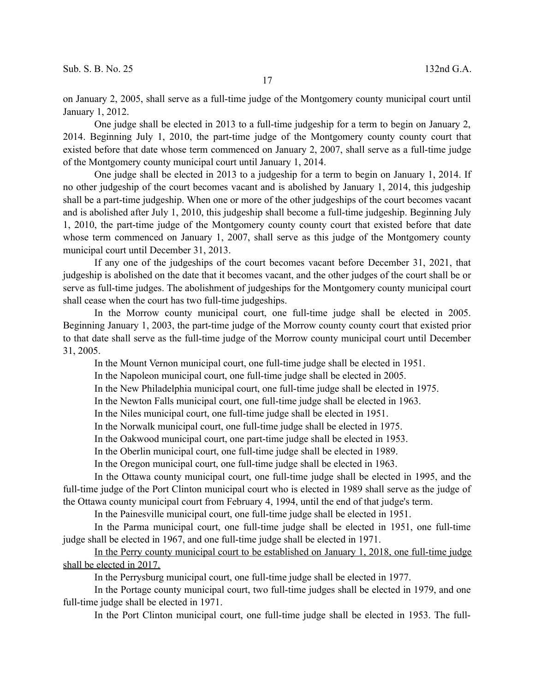on January 2, 2005, shall serve as a full-time judge of the Montgomery county municipal court until January 1, 2012.

One judge shall be elected in 2013 to a full-time judgeship for a term to begin on January 2, 2014. Beginning July 1, 2010, the part-time judge of the Montgomery county county court that existed before that date whose term commenced on January 2, 2007, shall serve as a full-time judge of the Montgomery county municipal court until January 1, 2014.

One judge shall be elected in 2013 to a judgeship for a term to begin on January 1, 2014. If no other judgeship of the court becomes vacant and is abolished by January 1, 2014, this judgeship shall be a part-time judgeship. When one or more of the other judgeships of the court becomes vacant and is abolished after July 1, 2010, this judgeship shall become a full-time judgeship. Beginning July 1, 2010, the part-time judge of the Montgomery county county court that existed before that date whose term commenced on January 1, 2007, shall serve as this judge of the Montgomery county municipal court until December 31, 2013.

If any one of the judgeships of the court becomes vacant before December 31, 2021, that judgeship is abolished on the date that it becomes vacant, and the other judges of the court shall be or serve as full-time judges. The abolishment of judgeships for the Montgomery county municipal court shall cease when the court has two full-time judgeships.

In the Morrow county municipal court, one full-time judge shall be elected in 2005. Beginning January 1, 2003, the part-time judge of the Morrow county county court that existed prior to that date shall serve as the full-time judge of the Morrow county municipal court until December 31, 2005.

In the Mount Vernon municipal court, one full-time judge shall be elected in 1951.

In the Napoleon municipal court, one full-time judge shall be elected in 2005.

In the New Philadelphia municipal court, one full-time judge shall be elected in 1975.

In the Newton Falls municipal court, one full-time judge shall be elected in 1963.

In the Niles municipal court, one full-time judge shall be elected in 1951.

In the Norwalk municipal court, one full-time judge shall be elected in 1975.

In the Oakwood municipal court, one part-time judge shall be elected in 1953.

In the Oberlin municipal court, one full-time judge shall be elected in 1989.

In the Oregon municipal court, one full-time judge shall be elected in 1963.

In the Ottawa county municipal court, one full-time judge shall be elected in 1995, and the full-time judge of the Port Clinton municipal court who is elected in 1989 shall serve as the judge of the Ottawa county municipal court from February 4, 1994, until the end of that judge's term.

In the Painesville municipal court, one full-time judge shall be elected in 1951.

In the Parma municipal court, one full-time judge shall be elected in 1951, one full-time judge shall be elected in 1967, and one full-time judge shall be elected in 1971.

 In the Perry county municipal court to be established on January 1, 2018, one full-time judge shall be elected in 2017.

In the Perrysburg municipal court, one full-time judge shall be elected in 1977.

In the Portage county municipal court, two full-time judges shall be elected in 1979, and one full-time judge shall be elected in 1971.

In the Port Clinton municipal court, one full-time judge shall be elected in 1953. The full-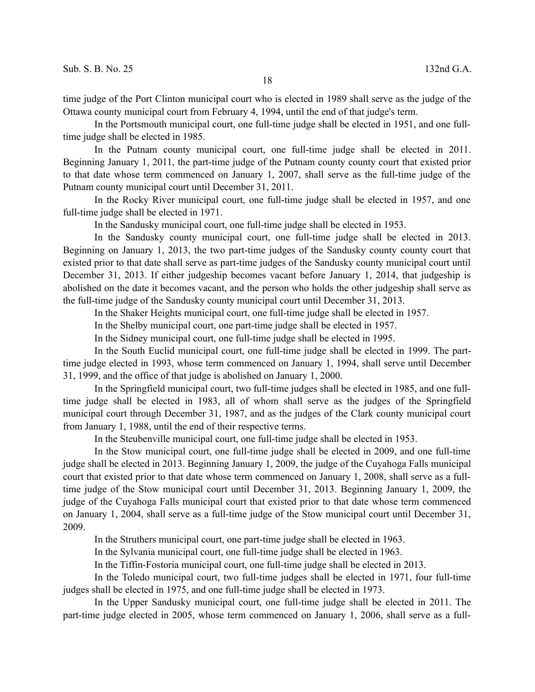time judge of the Port Clinton municipal court who is elected in 1989 shall serve as the judge of the Ottawa county municipal court from February 4, 1994, until the end of that judge's term.

In the Portsmouth municipal court, one full-time judge shall be elected in 1951, and one fulltime judge shall be elected in 1985.

In the Putnam county municipal court, one full-time judge shall be elected in 2011. Beginning January 1, 2011, the part-time judge of the Putnam county county court that existed prior to that date whose term commenced on January 1, 2007, shall serve as the full-time judge of the Putnam county municipal court until December 31, 2011.

In the Rocky River municipal court, one full-time judge shall be elected in 1957, and one full-time judge shall be elected in 1971.

In the Sandusky municipal court, one full-time judge shall be elected in 1953.

In the Sandusky county municipal court, one full-time judge shall be elected in 2013. Beginning on January 1, 2013, the two part-time judges of the Sandusky county county court that existed prior to that date shall serve as part-time judges of the Sandusky county municipal court until December 31, 2013. If either judgeship becomes vacant before January 1, 2014, that judgeship is abolished on the date it becomes vacant, and the person who holds the other judgeship shall serve as the full-time judge of the Sandusky county municipal court until December 31, 2013.

In the Shaker Heights municipal court, one full-time judge shall be elected in 1957.

In the Shelby municipal court, one part-time judge shall be elected in 1957.

In the Sidney municipal court, one full-time judge shall be elected in 1995.

In the South Euclid municipal court, one full-time judge shall be elected in 1999. The parttime judge elected in 1993, whose term commenced on January 1, 1994, shall serve until December 31, 1999, and the office of that judge is abolished on January 1, 2000.

In the Springfield municipal court, two full-time judges shall be elected in 1985, and one fulltime judge shall be elected in 1983, all of whom shall serve as the judges of the Springfield municipal court through December 31, 1987, and as the judges of the Clark county municipal court from January 1, 1988, until the end of their respective terms.

In the Steubenville municipal court, one full-time judge shall be elected in 1953.

In the Stow municipal court, one full-time judge shall be elected in 2009, and one full-time judge shall be elected in 2013. Beginning January 1, 2009, the judge of the Cuyahoga Falls municipal court that existed prior to that date whose term commenced on January 1, 2008, shall serve as a fulltime judge of the Stow municipal court until December 31, 2013. Beginning January 1, 2009, the judge of the Cuyahoga Falls municipal court that existed prior to that date whose term commenced on January 1, 2004, shall serve as a full-time judge of the Stow municipal court until December 31, 2009.

In the Struthers municipal court, one part-time judge shall be elected in 1963.

In the Sylvania municipal court, one full-time judge shall be elected in 1963.

In the Tiffin-Fostoria municipal court, one full-time judge shall be elected in 2013.

In the Toledo municipal court, two full-time judges shall be elected in 1971, four full-time judges shall be elected in 1975, and one full-time judge shall be elected in 1973.

In the Upper Sandusky municipal court, one full-time judge shall be elected in 2011. The part-time judge elected in 2005, whose term commenced on January 1, 2006, shall serve as a full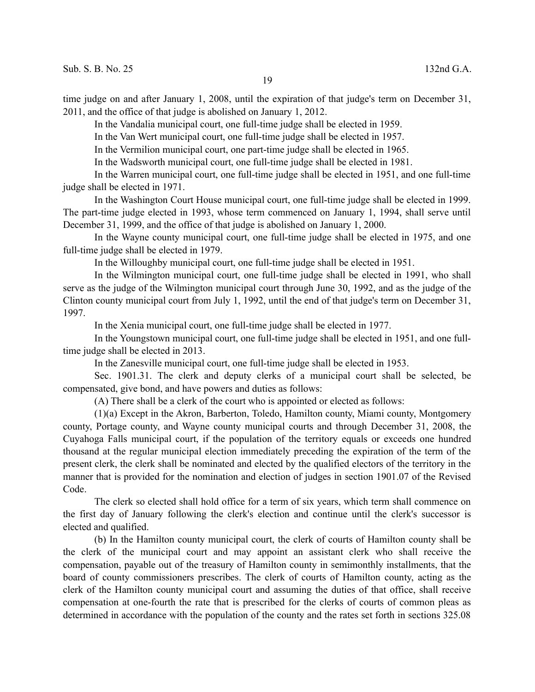time judge on and after January 1, 2008, until the expiration of that judge's term on December 31, 2011, and the office of that judge is abolished on January 1, 2012.

In the Vandalia municipal court, one full-time judge shall be elected in 1959.

In the Van Wert municipal court, one full-time judge shall be elected in 1957.

In the Vermilion municipal court, one part-time judge shall be elected in 1965.

In the Wadsworth municipal court, one full-time judge shall be elected in 1981.

In the Warren municipal court, one full-time judge shall be elected in 1951, and one full-time judge shall be elected in 1971.

In the Washington Court House municipal court, one full-time judge shall be elected in 1999. The part-time judge elected in 1993, whose term commenced on January 1, 1994, shall serve until December 31, 1999, and the office of that judge is abolished on January 1, 2000.

In the Wayne county municipal court, one full-time judge shall be elected in 1975, and one full-time judge shall be elected in 1979.

In the Willoughby municipal court, one full-time judge shall be elected in 1951.

In the Wilmington municipal court, one full-time judge shall be elected in 1991, who shall serve as the judge of the Wilmington municipal court through June 30, 1992, and as the judge of the Clinton county municipal court from July 1, 1992, until the end of that judge's term on December 31, 1997.

In the Xenia municipal court, one full-time judge shall be elected in 1977.

In the Youngstown municipal court, one full-time judge shall be elected in 1951, and one fulltime judge shall be elected in 2013.

In the Zanesville municipal court, one full-time judge shall be elected in 1953.

Sec. 1901.31. The clerk and deputy clerks of a municipal court shall be selected, be compensated, give bond, and have powers and duties as follows:

(A) There shall be a clerk of the court who is appointed or elected as follows:

(1)(a) Except in the Akron, Barberton, Toledo, Hamilton county, Miami county, Montgomery county, Portage county, and Wayne county municipal courts and through December 31, 2008, the Cuyahoga Falls municipal court, if the population of the territory equals or exceeds one hundred thousand at the regular municipal election immediately preceding the expiration of the term of the present clerk, the clerk shall be nominated and elected by the qualified electors of the territory in the manner that is provided for the nomination and election of judges in section 1901.07 of the Revised Code.

The clerk so elected shall hold office for a term of six years, which term shall commence on the first day of January following the clerk's election and continue until the clerk's successor is elected and qualified.

(b) In the Hamilton county municipal court, the clerk of courts of Hamilton county shall be the clerk of the municipal court and may appoint an assistant clerk who shall receive the compensation, payable out of the treasury of Hamilton county in semimonthly installments, that the board of county commissioners prescribes. The clerk of courts of Hamilton county, acting as the clerk of the Hamilton county municipal court and assuming the duties of that office, shall receive compensation at one-fourth the rate that is prescribed for the clerks of courts of common pleas as determined in accordance with the population of the county and the rates set forth in sections 325.08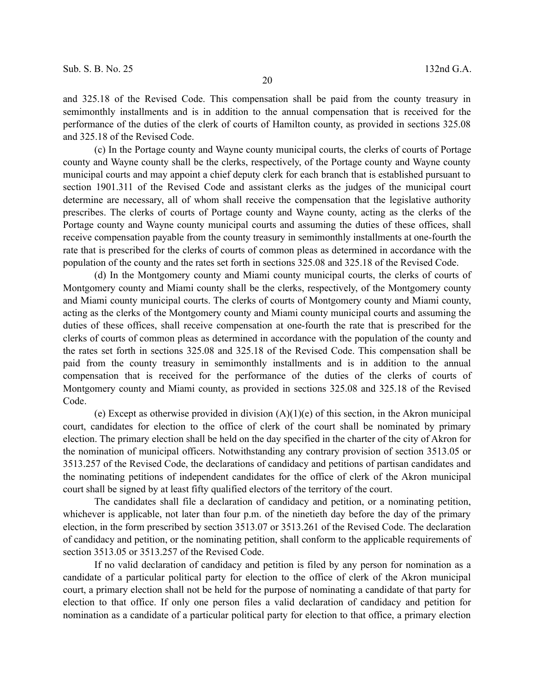and 325.18 of the Revised Code. This compensation shall be paid from the county treasury in semimonthly installments and is in addition to the annual compensation that is received for the performance of the duties of the clerk of courts of Hamilton county, as provided in sections 325.08 and 325.18 of the Revised Code.

(c) In the Portage county and Wayne county municipal courts, the clerks of courts of Portage county and Wayne county shall be the clerks, respectively, of the Portage county and Wayne county municipal courts and may appoint a chief deputy clerk for each branch that is established pursuant to section 1901.311 of the Revised Code and assistant clerks as the judges of the municipal court determine are necessary, all of whom shall receive the compensation that the legislative authority prescribes. The clerks of courts of Portage county and Wayne county, acting as the clerks of the Portage county and Wayne county municipal courts and assuming the duties of these offices, shall receive compensation payable from the county treasury in semimonthly installments at one-fourth the rate that is prescribed for the clerks of courts of common pleas as determined in accordance with the population of the county and the rates set forth in sections 325.08 and 325.18 of the Revised Code.

(d) In the Montgomery county and Miami county municipal courts, the clerks of courts of Montgomery county and Miami county shall be the clerks, respectively, of the Montgomery county and Miami county municipal courts. The clerks of courts of Montgomery county and Miami county, acting as the clerks of the Montgomery county and Miami county municipal courts and assuming the duties of these offices, shall receive compensation at one-fourth the rate that is prescribed for the clerks of courts of common pleas as determined in accordance with the population of the county and the rates set forth in sections 325.08 and 325.18 of the Revised Code. This compensation shall be paid from the county treasury in semimonthly installments and is in addition to the annual compensation that is received for the performance of the duties of the clerks of courts of Montgomery county and Miami county, as provided in sections 325.08 and 325.18 of the Revised Code.

(e) Except as otherwise provided in division  $(A)(1)(e)$  of this section, in the Akron municipal court, candidates for election to the office of clerk of the court shall be nominated by primary election. The primary election shall be held on the day specified in the charter of the city of Akron for the nomination of municipal officers. Notwithstanding any contrary provision of section 3513.05 or 3513.257 of the Revised Code, the declarations of candidacy and petitions of partisan candidates and the nominating petitions of independent candidates for the office of clerk of the Akron municipal court shall be signed by at least fifty qualified electors of the territory of the court.

The candidates shall file a declaration of candidacy and petition, or a nominating petition, whichever is applicable, not later than four p.m. of the ninetieth day before the day of the primary election, in the form prescribed by section 3513.07 or 3513.261 of the Revised Code. The declaration of candidacy and petition, or the nominating petition, shall conform to the applicable requirements of section 3513.05 or 3513.257 of the Revised Code.

If no valid declaration of candidacy and petition is filed by any person for nomination as a candidate of a particular political party for election to the office of clerk of the Akron municipal court, a primary election shall not be held for the purpose of nominating a candidate of that party for election to that office. If only one person files a valid declaration of candidacy and petition for nomination as a candidate of a particular political party for election to that office, a primary election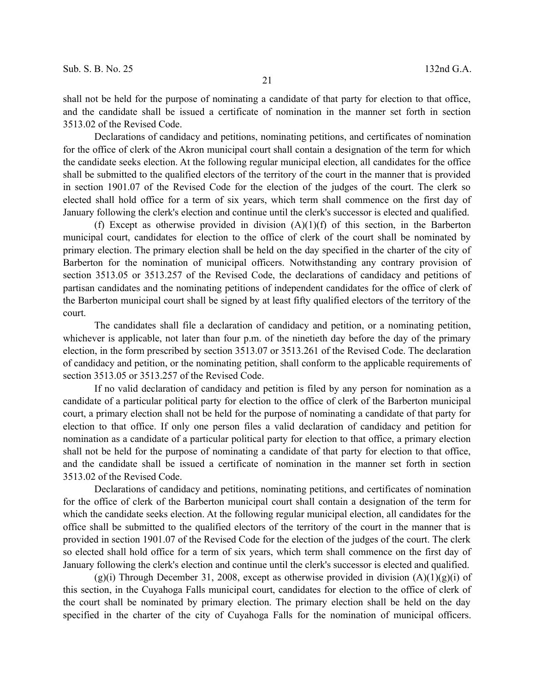shall not be held for the purpose of nominating a candidate of that party for election to that office, and the candidate shall be issued a certificate of nomination in the manner set forth in section 3513.02 of the Revised Code.

Declarations of candidacy and petitions, nominating petitions, and certificates of nomination for the office of clerk of the Akron municipal court shall contain a designation of the term for which the candidate seeks election. At the following regular municipal election, all candidates for the office shall be submitted to the qualified electors of the territory of the court in the manner that is provided in section 1901.07 of the Revised Code for the election of the judges of the court. The clerk so elected shall hold office for a term of six years, which term shall commence on the first day of January following the clerk's election and continue until the clerk's successor is elected and qualified.

(f) Except as otherwise provided in division  $(A)(1)(f)$  of this section, in the Barberton municipal court, candidates for election to the office of clerk of the court shall be nominated by primary election. The primary election shall be held on the day specified in the charter of the city of Barberton for the nomination of municipal officers. Notwithstanding any contrary provision of section 3513.05 or 3513.257 of the Revised Code, the declarations of candidacy and petitions of partisan candidates and the nominating petitions of independent candidates for the office of clerk of the Barberton municipal court shall be signed by at least fifty qualified electors of the territory of the court.

The candidates shall file a declaration of candidacy and petition, or a nominating petition, whichever is applicable, not later than four p.m. of the ninetieth day before the day of the primary election, in the form prescribed by section 3513.07 or 3513.261 of the Revised Code. The declaration of candidacy and petition, or the nominating petition, shall conform to the applicable requirements of section 3513.05 or 3513.257 of the Revised Code.

If no valid declaration of candidacy and petition is filed by any person for nomination as a candidate of a particular political party for election to the office of clerk of the Barberton municipal court, a primary election shall not be held for the purpose of nominating a candidate of that party for election to that office. If only one person files a valid declaration of candidacy and petition for nomination as a candidate of a particular political party for election to that office, a primary election shall not be held for the purpose of nominating a candidate of that party for election to that office, and the candidate shall be issued a certificate of nomination in the manner set forth in section 3513.02 of the Revised Code.

Declarations of candidacy and petitions, nominating petitions, and certificates of nomination for the office of clerk of the Barberton municipal court shall contain a designation of the term for which the candidate seeks election. At the following regular municipal election, all candidates for the office shall be submitted to the qualified electors of the territory of the court in the manner that is provided in section 1901.07 of the Revised Code for the election of the judges of the court. The clerk so elected shall hold office for a term of six years, which term shall commence on the first day of January following the clerk's election and continue until the clerk's successor is elected and qualified.

 $(g)(i)$  Through December 31, 2008, except as otherwise provided in division  $(A)(1)(g)(i)$  of this section, in the Cuyahoga Falls municipal court, candidates for election to the office of clerk of the court shall be nominated by primary election. The primary election shall be held on the day specified in the charter of the city of Cuyahoga Falls for the nomination of municipal officers.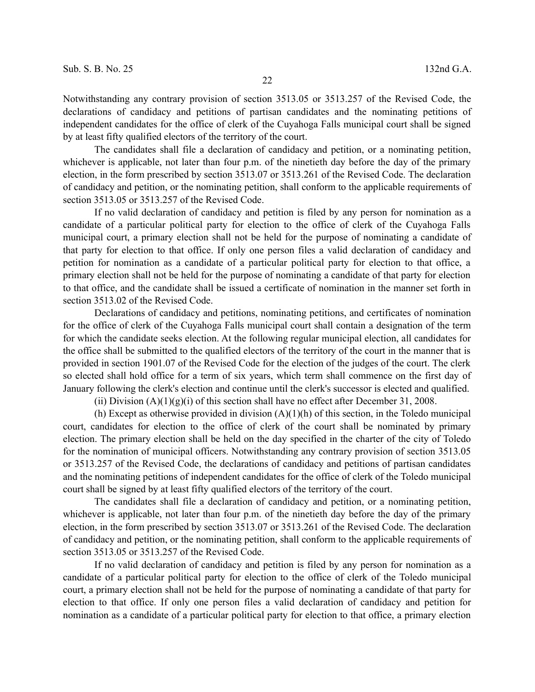Notwithstanding any contrary provision of section 3513.05 or 3513.257 of the Revised Code, the declarations of candidacy and petitions of partisan candidates and the nominating petitions of independent candidates for the office of clerk of the Cuyahoga Falls municipal court shall be signed by at least fifty qualified electors of the territory of the court.

The candidates shall file a declaration of candidacy and petition, or a nominating petition, whichever is applicable, not later than four p.m. of the ninetieth day before the day of the primary election, in the form prescribed by section 3513.07 or 3513.261 of the Revised Code. The declaration of candidacy and petition, or the nominating petition, shall conform to the applicable requirements of section 3513.05 or 3513.257 of the Revised Code.

If no valid declaration of candidacy and petition is filed by any person for nomination as a candidate of a particular political party for election to the office of clerk of the Cuyahoga Falls municipal court, a primary election shall not be held for the purpose of nominating a candidate of that party for election to that office. If only one person files a valid declaration of candidacy and petition for nomination as a candidate of a particular political party for election to that office, a primary election shall not be held for the purpose of nominating a candidate of that party for election to that office, and the candidate shall be issued a certificate of nomination in the manner set forth in section 3513.02 of the Revised Code.

Declarations of candidacy and petitions, nominating petitions, and certificates of nomination for the office of clerk of the Cuyahoga Falls municipal court shall contain a designation of the term for which the candidate seeks election. At the following regular municipal election, all candidates for the office shall be submitted to the qualified electors of the territory of the court in the manner that is provided in section 1901.07 of the Revised Code for the election of the judges of the court. The clerk so elected shall hold office for a term of six years, which term shall commence on the first day of January following the clerk's election and continue until the clerk's successor is elected and qualified.

(ii) Division  $(A)(1)(g)(i)$  of this section shall have no effect after December 31, 2008.

(h) Except as otherwise provided in division  $(A)(1)(h)$  of this section, in the Toledo municipal court, candidates for election to the office of clerk of the court shall be nominated by primary election. The primary election shall be held on the day specified in the charter of the city of Toledo for the nomination of municipal officers. Notwithstanding any contrary provision of section 3513.05 or 3513.257 of the Revised Code, the declarations of candidacy and petitions of partisan candidates and the nominating petitions of independent candidates for the office of clerk of the Toledo municipal court shall be signed by at least fifty qualified electors of the territory of the court.

The candidates shall file a declaration of candidacy and petition, or a nominating petition, whichever is applicable, not later than four p.m. of the ninetieth day before the day of the primary election, in the form prescribed by section 3513.07 or 3513.261 of the Revised Code. The declaration of candidacy and petition, or the nominating petition, shall conform to the applicable requirements of section 3513.05 or 3513.257 of the Revised Code.

If no valid declaration of candidacy and petition is filed by any person for nomination as a candidate of a particular political party for election to the office of clerk of the Toledo municipal court, a primary election shall not be held for the purpose of nominating a candidate of that party for election to that office. If only one person files a valid declaration of candidacy and petition for nomination as a candidate of a particular political party for election to that office, a primary election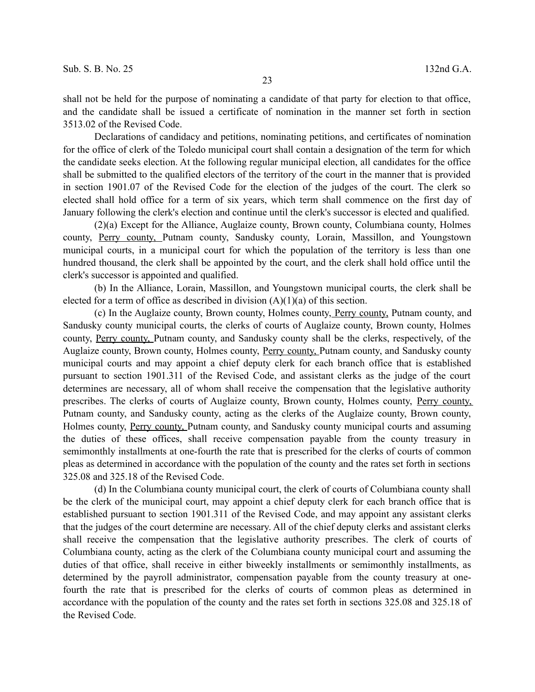shall not be held for the purpose of nominating a candidate of that party for election to that office, and the candidate shall be issued a certificate of nomination in the manner set forth in section 3513.02 of the Revised Code.

Declarations of candidacy and petitions, nominating petitions, and certificates of nomination for the office of clerk of the Toledo municipal court shall contain a designation of the term for which the candidate seeks election. At the following regular municipal election, all candidates for the office shall be submitted to the qualified electors of the territory of the court in the manner that is provided in section 1901.07 of the Revised Code for the election of the judges of the court. The clerk so elected shall hold office for a term of six years, which term shall commence on the first day of January following the clerk's election and continue until the clerk's successor is elected and qualified.

(2)(a) Except for the Alliance, Auglaize county, Brown county, Columbiana county, Holmes county, Perry county, Putnam county, Sandusky county, Lorain, Massillon, and Youngstown municipal courts, in a municipal court for which the population of the territory is less than one hundred thousand, the clerk shall be appointed by the court, and the clerk shall hold office until the clerk's successor is appointed and qualified.

(b) In the Alliance, Lorain, Massillon, and Youngstown municipal courts, the clerk shall be elected for a term of office as described in division  $(A)(1)(a)$  of this section.

(c) In the Auglaize county, Brown county, Holmes county, Perry county, Putnam county, and Sandusky county municipal courts, the clerks of courts of Auglaize county, Brown county, Holmes county, Perry county, Putnam county, and Sandusky county shall be the clerks, respectively, of the Auglaize county, Brown county, Holmes county, Perry county, Putnam county, and Sandusky county municipal courts and may appoint a chief deputy clerk for each branch office that is established pursuant to section 1901.311 of the Revised Code, and assistant clerks as the judge of the court determines are necessary, all of whom shall receive the compensation that the legislative authority prescribes. The clerks of courts of Auglaize county, Brown county, Holmes county, Perry county, Putnam county, and Sandusky county, acting as the clerks of the Auglaize county, Brown county, Holmes county, Perry county, Putnam county, and Sandusky county municipal courts and assuming the duties of these offices, shall receive compensation payable from the county treasury in semimonthly installments at one-fourth the rate that is prescribed for the clerks of courts of common pleas as determined in accordance with the population of the county and the rates set forth in sections 325.08 and 325.18 of the Revised Code.

(d) In the Columbiana county municipal court, the clerk of courts of Columbiana county shall be the clerk of the municipal court, may appoint a chief deputy clerk for each branch office that is established pursuant to section 1901.311 of the Revised Code, and may appoint any assistant clerks that the judges of the court determine are necessary. All of the chief deputy clerks and assistant clerks shall receive the compensation that the legislative authority prescribes. The clerk of courts of Columbiana county, acting as the clerk of the Columbiana county municipal court and assuming the duties of that office, shall receive in either biweekly installments or semimonthly installments, as determined by the payroll administrator, compensation payable from the county treasury at onefourth the rate that is prescribed for the clerks of courts of common pleas as determined in accordance with the population of the county and the rates set forth in sections 325.08 and 325.18 of the Revised Code.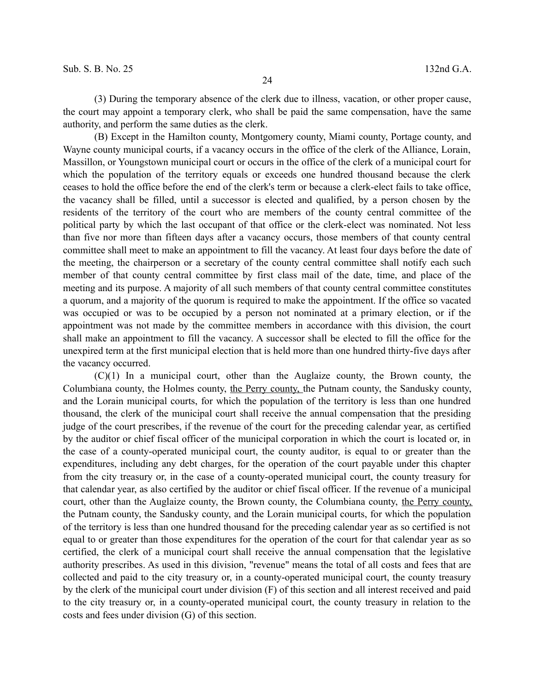(3) During the temporary absence of the clerk due to illness, vacation, or other proper cause, the court may appoint a temporary clerk, who shall be paid the same compensation, have the same authority, and perform the same duties as the clerk.

(B) Except in the Hamilton county, Montgomery county, Miami county, Portage county, and Wayne county municipal courts, if a vacancy occurs in the office of the clerk of the Alliance, Lorain, Massillon, or Youngstown municipal court or occurs in the office of the clerk of a municipal court for which the population of the territory equals or exceeds one hundred thousand because the clerk ceases to hold the office before the end of the clerk's term or because a clerk-elect fails to take office, the vacancy shall be filled, until a successor is elected and qualified, by a person chosen by the residents of the territory of the court who are members of the county central committee of the political party by which the last occupant of that office or the clerk-elect was nominated. Not less than five nor more than fifteen days after a vacancy occurs, those members of that county central committee shall meet to make an appointment to fill the vacancy. At least four days before the date of the meeting, the chairperson or a secretary of the county central committee shall notify each such member of that county central committee by first class mail of the date, time, and place of the meeting and its purpose. A majority of all such members of that county central committee constitutes a quorum, and a majority of the quorum is required to make the appointment. If the office so vacated was occupied or was to be occupied by a person not nominated at a primary election, or if the appointment was not made by the committee members in accordance with this division, the court shall make an appointment to fill the vacancy. A successor shall be elected to fill the office for the unexpired term at the first municipal election that is held more than one hundred thirty-five days after the vacancy occurred.

(C)(1) In a municipal court, other than the Auglaize county, the Brown county, the Columbiana county, the Holmes county, the Perry county, the Putnam county, the Sandusky county, and the Lorain municipal courts, for which the population of the territory is less than one hundred thousand, the clerk of the municipal court shall receive the annual compensation that the presiding judge of the court prescribes, if the revenue of the court for the preceding calendar year, as certified by the auditor or chief fiscal officer of the municipal corporation in which the court is located or, in the case of a county-operated municipal court, the county auditor, is equal to or greater than the expenditures, including any debt charges, for the operation of the court payable under this chapter from the city treasury or, in the case of a county-operated municipal court, the county treasury for that calendar year, as also certified by the auditor or chief fiscal officer. If the revenue of a municipal court, other than the Auglaize county, the Brown county, the Columbiana county, the Perry county, the Putnam county, the Sandusky county, and the Lorain municipal courts, for which the population of the territory is less than one hundred thousand for the preceding calendar year as so certified is not equal to or greater than those expenditures for the operation of the court for that calendar year as so certified, the clerk of a municipal court shall receive the annual compensation that the legislative authority prescribes. As used in this division, "revenue" means the total of all costs and fees that are collected and paid to the city treasury or, in a county-operated municipal court, the county treasury by the clerk of the municipal court under division (F) of this section and all interest received and paid to the city treasury or, in a county-operated municipal court, the county treasury in relation to the costs and fees under division (G) of this section.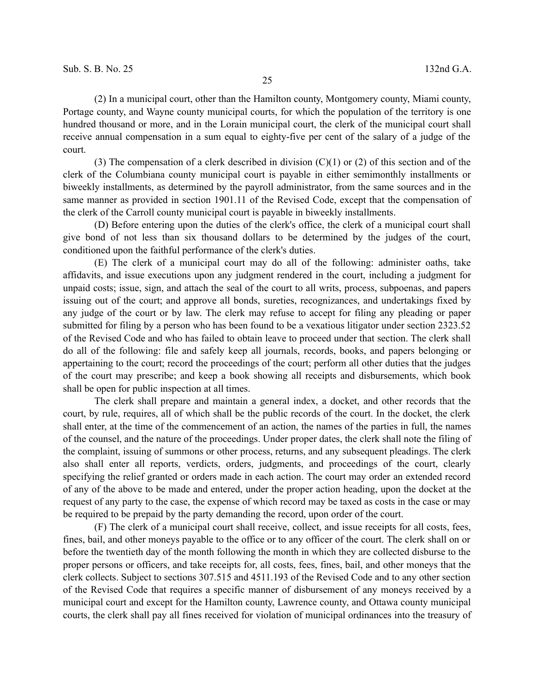(2) In a municipal court, other than the Hamilton county, Montgomery county, Miami county, Portage county, and Wayne county municipal courts, for which the population of the territory is one hundred thousand or more, and in the Lorain municipal court, the clerk of the municipal court shall receive annual compensation in a sum equal to eighty-five per cent of the salary of a judge of the court.

(3) The compensation of a clerk described in division  $(C)(1)$  or (2) of this section and of the clerk of the Columbiana county municipal court is payable in either semimonthly installments or biweekly installments, as determined by the payroll administrator, from the same sources and in the same manner as provided in section 1901.11 of the Revised Code, except that the compensation of the clerk of the Carroll county municipal court is payable in biweekly installments.

(D) Before entering upon the duties of the clerk's office, the clerk of a municipal court shall give bond of not less than six thousand dollars to be determined by the judges of the court, conditioned upon the faithful performance of the clerk's duties.

(E) The clerk of a municipal court may do all of the following: administer oaths, take affidavits, and issue executions upon any judgment rendered in the court, including a judgment for unpaid costs; issue, sign, and attach the seal of the court to all writs, process, subpoenas, and papers issuing out of the court; and approve all bonds, sureties, recognizances, and undertakings fixed by any judge of the court or by law. The clerk may refuse to accept for filing any pleading or paper submitted for filing by a person who has been found to be a vexatious litigator under section 2323.52 of the Revised Code and who has failed to obtain leave to proceed under that section. The clerk shall do all of the following: file and safely keep all journals, records, books, and papers belonging or appertaining to the court; record the proceedings of the court; perform all other duties that the judges of the court may prescribe; and keep a book showing all receipts and disbursements, which book shall be open for public inspection at all times.

The clerk shall prepare and maintain a general index, a docket, and other records that the court, by rule, requires, all of which shall be the public records of the court. In the docket, the clerk shall enter, at the time of the commencement of an action, the names of the parties in full, the names of the counsel, and the nature of the proceedings. Under proper dates, the clerk shall note the filing of the complaint, issuing of summons or other process, returns, and any subsequent pleadings. The clerk also shall enter all reports, verdicts, orders, judgments, and proceedings of the court, clearly specifying the relief granted or orders made in each action. The court may order an extended record of any of the above to be made and entered, under the proper action heading, upon the docket at the request of any party to the case, the expense of which record may be taxed as costs in the case or may be required to be prepaid by the party demanding the record, upon order of the court.

(F) The clerk of a municipal court shall receive, collect, and issue receipts for all costs, fees, fines, bail, and other moneys payable to the office or to any officer of the court. The clerk shall on or before the twentieth day of the month following the month in which they are collected disburse to the proper persons or officers, and take receipts for, all costs, fees, fines, bail, and other moneys that the clerk collects. Subject to sections 307.515 and 4511.193 of the Revised Code and to any other section of the Revised Code that requires a specific manner of disbursement of any moneys received by a municipal court and except for the Hamilton county, Lawrence county, and Ottawa county municipal courts, the clerk shall pay all fines received for violation of municipal ordinances into the treasury of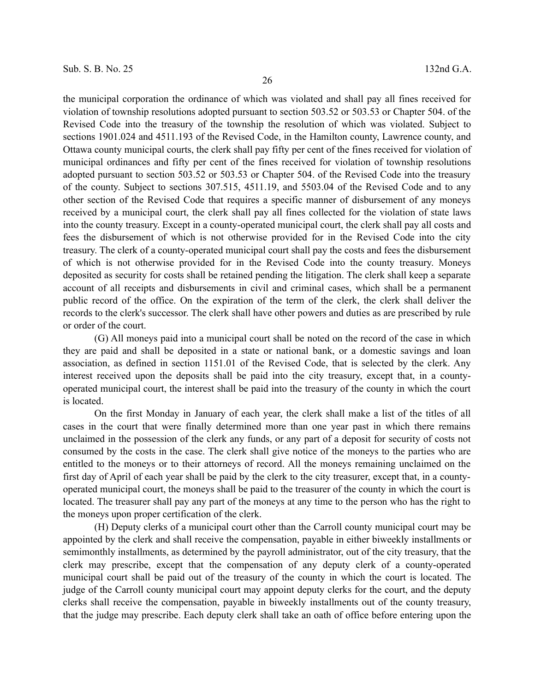the municipal corporation the ordinance of which was violated and shall pay all fines received for violation of township resolutions adopted pursuant to section 503.52 or 503.53 or Chapter 504. of the Revised Code into the treasury of the township the resolution of which was violated. Subject to sections 1901.024 and 4511.193 of the Revised Code, in the Hamilton county, Lawrence county, and Ottawa county municipal courts, the clerk shall pay fifty per cent of the fines received for violation of municipal ordinances and fifty per cent of the fines received for violation of township resolutions adopted pursuant to section 503.52 or 503.53 or Chapter 504. of the Revised Code into the treasury of the county. Subject to sections 307.515, 4511.19, and 5503.04 of the Revised Code and to any other section of the Revised Code that requires a specific manner of disbursement of any moneys received by a municipal court, the clerk shall pay all fines collected for the violation of state laws into the county treasury. Except in a county-operated municipal court, the clerk shall pay all costs and fees the disbursement of which is not otherwise provided for in the Revised Code into the city treasury. The clerk of a county-operated municipal court shall pay the costs and fees the disbursement of which is not otherwise provided for in the Revised Code into the county treasury. Moneys deposited as security for costs shall be retained pending the litigation. The clerk shall keep a separate account of all receipts and disbursements in civil and criminal cases, which shall be a permanent public record of the office. On the expiration of the term of the clerk, the clerk shall deliver the records to the clerk's successor. The clerk shall have other powers and duties as are prescribed by rule or order of the court.

(G) All moneys paid into a municipal court shall be noted on the record of the case in which they are paid and shall be deposited in a state or national bank, or a domestic savings and loan association, as defined in section 1151.01 of the Revised Code, that is selected by the clerk. Any interest received upon the deposits shall be paid into the city treasury, except that, in a countyoperated municipal court, the interest shall be paid into the treasury of the county in which the court is located.

On the first Monday in January of each year, the clerk shall make a list of the titles of all cases in the court that were finally determined more than one year past in which there remains unclaimed in the possession of the clerk any funds, or any part of a deposit for security of costs not consumed by the costs in the case. The clerk shall give notice of the moneys to the parties who are entitled to the moneys or to their attorneys of record. All the moneys remaining unclaimed on the first day of April of each year shall be paid by the clerk to the city treasurer, except that, in a countyoperated municipal court, the moneys shall be paid to the treasurer of the county in which the court is located. The treasurer shall pay any part of the moneys at any time to the person who has the right to the moneys upon proper certification of the clerk.

(H) Deputy clerks of a municipal court other than the Carroll county municipal court may be appointed by the clerk and shall receive the compensation, payable in either biweekly installments or semimonthly installments, as determined by the payroll administrator, out of the city treasury, that the clerk may prescribe, except that the compensation of any deputy clerk of a county-operated municipal court shall be paid out of the treasury of the county in which the court is located. The judge of the Carroll county municipal court may appoint deputy clerks for the court, and the deputy clerks shall receive the compensation, payable in biweekly installments out of the county treasury, that the judge may prescribe. Each deputy clerk shall take an oath of office before entering upon the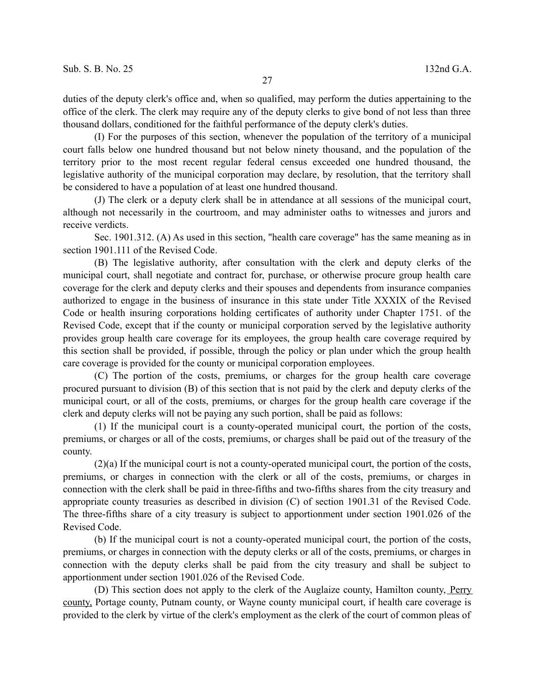duties of the deputy clerk's office and, when so qualified, may perform the duties appertaining to the office of the clerk. The clerk may require any of the deputy clerks to give bond of not less than three thousand dollars, conditioned for the faithful performance of the deputy clerk's duties.

(I) For the purposes of this section, whenever the population of the territory of a municipal court falls below one hundred thousand but not below ninety thousand, and the population of the territory prior to the most recent regular federal census exceeded one hundred thousand, the legislative authority of the municipal corporation may declare, by resolution, that the territory shall be considered to have a population of at least one hundred thousand.

(J) The clerk or a deputy clerk shall be in attendance at all sessions of the municipal court, although not necessarily in the courtroom, and may administer oaths to witnesses and jurors and receive verdicts.

Sec. 1901.312. (A) As used in this section, "health care coverage" has the same meaning as in section 1901.111 of the Revised Code.

(B) The legislative authority, after consultation with the clerk and deputy clerks of the municipal court, shall negotiate and contract for, purchase, or otherwise procure group health care coverage for the clerk and deputy clerks and their spouses and dependents from insurance companies authorized to engage in the business of insurance in this state under Title XXXIX of the Revised Code or health insuring corporations holding certificates of authority under Chapter 1751. of the Revised Code, except that if the county or municipal corporation served by the legislative authority provides group health care coverage for its employees, the group health care coverage required by this section shall be provided, if possible, through the policy or plan under which the group health care coverage is provided for the county or municipal corporation employees.

(C) The portion of the costs, premiums, or charges for the group health care coverage procured pursuant to division (B) of this section that is not paid by the clerk and deputy clerks of the municipal court, or all of the costs, premiums, or charges for the group health care coverage if the clerk and deputy clerks will not be paying any such portion, shall be paid as follows:

(1) If the municipal court is a county-operated municipal court, the portion of the costs, premiums, or charges or all of the costs, premiums, or charges shall be paid out of the treasury of the county.

(2)(a) If the municipal court is not a county-operated municipal court, the portion of the costs, premiums, or charges in connection with the clerk or all of the costs, premiums, or charges in connection with the clerk shall be paid in three-fifths and two-fifths shares from the city treasury and appropriate county treasuries as described in division (C) of section 1901.31 of the Revised Code. The three-fifths share of a city treasury is subject to apportionment under section 1901.026 of the Revised Code.

(b) If the municipal court is not a county-operated municipal court, the portion of the costs, premiums, or charges in connection with the deputy clerks or all of the costs, premiums, or charges in connection with the deputy clerks shall be paid from the city treasury and shall be subject to apportionment under section 1901.026 of the Revised Code.

(D) This section does not apply to the clerk of the Auglaize county, Hamilton county, Perry county, Portage county, Putnam county, or Wayne county municipal court, if health care coverage is provided to the clerk by virtue of the clerk's employment as the clerk of the court of common pleas of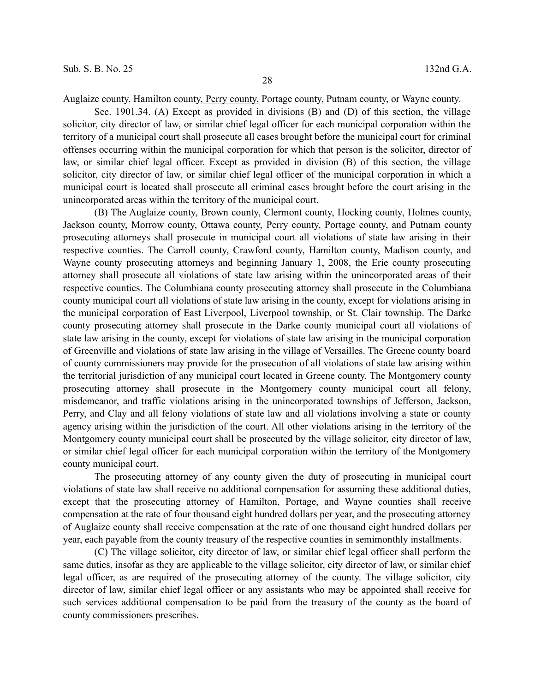Auglaize county, Hamilton county, Perry county, Portage county, Putnam county, or Wayne county.

Sec. 1901.34. (A) Except as provided in divisions (B) and (D) of this section, the village solicitor, city director of law, or similar chief legal officer for each municipal corporation within the territory of a municipal court shall prosecute all cases brought before the municipal court for criminal offenses occurring within the municipal corporation for which that person is the solicitor, director of law, or similar chief legal officer. Except as provided in division (B) of this section, the village solicitor, city director of law, or similar chief legal officer of the municipal corporation in which a municipal court is located shall prosecute all criminal cases brought before the court arising in the unincorporated areas within the territory of the municipal court.

(B) The Auglaize county, Brown county, Clermont county, Hocking county, Holmes county, Jackson county, Morrow county, Ottawa county, Perry county, Portage county, and Putnam county prosecuting attorneys shall prosecute in municipal court all violations of state law arising in their respective counties. The Carroll county, Crawford county, Hamilton county, Madison county, and Wayne county prosecuting attorneys and beginning January 1, 2008, the Erie county prosecuting attorney shall prosecute all violations of state law arising within the unincorporated areas of their respective counties. The Columbiana county prosecuting attorney shall prosecute in the Columbiana county municipal court all violations of state law arising in the county, except for violations arising in the municipal corporation of East Liverpool, Liverpool township, or St. Clair township. The Darke county prosecuting attorney shall prosecute in the Darke county municipal court all violations of state law arising in the county, except for violations of state law arising in the municipal corporation of Greenville and violations of state law arising in the village of Versailles. The Greene county board of county commissioners may provide for the prosecution of all violations of state law arising within the territorial jurisdiction of any municipal court located in Greene county. The Montgomery county prosecuting attorney shall prosecute in the Montgomery county municipal court all felony, misdemeanor, and traffic violations arising in the unincorporated townships of Jefferson, Jackson, Perry, and Clay and all felony violations of state law and all violations involving a state or county agency arising within the jurisdiction of the court. All other violations arising in the territory of the Montgomery county municipal court shall be prosecuted by the village solicitor, city director of law, or similar chief legal officer for each municipal corporation within the territory of the Montgomery county municipal court.

The prosecuting attorney of any county given the duty of prosecuting in municipal court violations of state law shall receive no additional compensation for assuming these additional duties, except that the prosecuting attorney of Hamilton, Portage, and Wayne counties shall receive compensation at the rate of four thousand eight hundred dollars per year, and the prosecuting attorney of Auglaize county shall receive compensation at the rate of one thousand eight hundred dollars per year, each payable from the county treasury of the respective counties in semimonthly installments.

(C) The village solicitor, city director of law, or similar chief legal officer shall perform the same duties, insofar as they are applicable to the village solicitor, city director of law, or similar chief legal officer, as are required of the prosecuting attorney of the county. The village solicitor, city director of law, similar chief legal officer or any assistants who may be appointed shall receive for such services additional compensation to be paid from the treasury of the county as the board of county commissioners prescribes.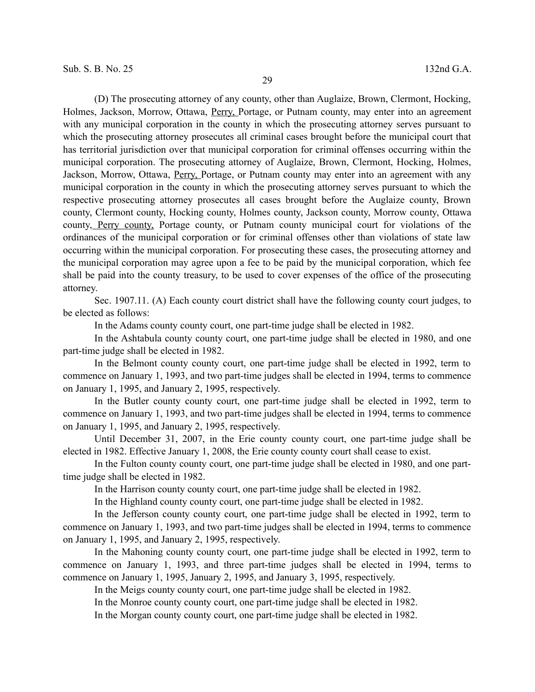(D) The prosecuting attorney of any county, other than Auglaize, Brown, Clermont, Hocking, Holmes, Jackson, Morrow, Ottawa, Perry, Portage, or Putnam county, may enter into an agreement with any municipal corporation in the county in which the prosecuting attorney serves pursuant to which the prosecuting attorney prosecutes all criminal cases brought before the municipal court that has territorial jurisdiction over that municipal corporation for criminal offenses occurring within the municipal corporation. The prosecuting attorney of Auglaize, Brown, Clermont, Hocking, Holmes, Jackson, Morrow, Ottawa, Perry, Portage, or Putnam county may enter into an agreement with any municipal corporation in the county in which the prosecuting attorney serves pursuant to which the respective prosecuting attorney prosecutes all cases brought before the Auglaize county, Brown county, Clermont county, Hocking county, Holmes county, Jackson county, Morrow county, Ottawa county, Perry county, Portage county, or Putnam county municipal court for violations of the ordinances of the municipal corporation or for criminal offenses other than violations of state law occurring within the municipal corporation. For prosecuting these cases, the prosecuting attorney and the municipal corporation may agree upon a fee to be paid by the municipal corporation, which fee shall be paid into the county treasury, to be used to cover expenses of the office of the prosecuting attorney.

Sec. 1907.11. (A) Each county court district shall have the following county court judges, to be elected as follows:

In the Adams county county court, one part-time judge shall be elected in 1982.

In the Ashtabula county county court, one part-time judge shall be elected in 1980, and one part-time judge shall be elected in 1982.

In the Belmont county county court, one part-time judge shall be elected in 1992, term to commence on January 1, 1993, and two part-time judges shall be elected in 1994, terms to commence on January 1, 1995, and January 2, 1995, respectively.

In the Butler county county court, one part-time judge shall be elected in 1992, term to commence on January 1, 1993, and two part-time judges shall be elected in 1994, terms to commence on January 1, 1995, and January 2, 1995, respectively.

Until December 31, 2007, in the Erie county county court, one part-time judge shall be elected in 1982. Effective January 1, 2008, the Erie county county court shall cease to exist.

In the Fulton county county court, one part-time judge shall be elected in 1980, and one parttime judge shall be elected in 1982.

In the Harrison county county court, one part-time judge shall be elected in 1982.

In the Highland county county court, one part-time judge shall be elected in 1982.

In the Jefferson county county court, one part-time judge shall be elected in 1992, term to commence on January 1, 1993, and two part-time judges shall be elected in 1994, terms to commence on January 1, 1995, and January 2, 1995, respectively.

In the Mahoning county county court, one part-time judge shall be elected in 1992, term to commence on January 1, 1993, and three part-time judges shall be elected in 1994, terms to commence on January 1, 1995, January 2, 1995, and January 3, 1995, respectively.

In the Meigs county county court, one part-time judge shall be elected in 1982.

In the Monroe county county court, one part-time judge shall be elected in 1982.

In the Morgan county county court, one part-time judge shall be elected in 1982.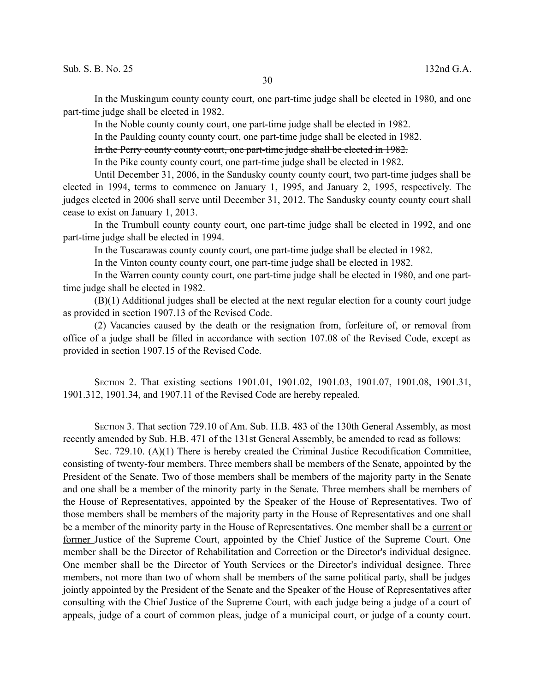In the Muskingum county county court, one part-time judge shall be elected in 1980, and one part-time judge shall be elected in 1982.

In the Noble county county court, one part-time judge shall be elected in 1982.

In the Paulding county county court, one part-time judge shall be elected in 1982.

In the Perry county county court, one part-time judge shall be elected in 1982.

In the Pike county county court, one part-time judge shall be elected in 1982.

Until December 31, 2006, in the Sandusky county county court, two part-time judges shall be elected in 1994, terms to commence on January 1, 1995, and January 2, 1995, respectively. The judges elected in 2006 shall serve until December 31, 2012. The Sandusky county county court shall cease to exist on January 1, 2013.

In the Trumbull county county court, one part-time judge shall be elected in 1992, and one part-time judge shall be elected in 1994.

In the Tuscarawas county county court, one part-time judge shall be elected in 1982.

In the Vinton county county court, one part-time judge shall be elected in 1982.

In the Warren county county court, one part-time judge shall be elected in 1980, and one parttime judge shall be elected in 1982.

(B)(1) Additional judges shall be elected at the next regular election for a county court judge as provided in section 1907.13 of the Revised Code.

(2) Vacancies caused by the death or the resignation from, forfeiture of, or removal from office of a judge shall be filled in accordance with section 107.08 of the Revised Code, except as provided in section 1907.15 of the Revised Code.

SECTION 2. That existing sections 1901.01, 1901.02, 1901.03, 1901.07, 1901.08, 1901.31, 1901.312, 1901.34, and 1907.11 of the Revised Code are hereby repealed.

SECTION 3. That section 729.10 of Am. Sub. H.B. 483 of the 130th General Assembly, as most recently amended by Sub. H.B. 471 of the 131st General Assembly, be amended to read as follows:

Sec. 729.10. (A)(1) There is hereby created the Criminal Justice Recodification Committee, consisting of twenty-four members. Three members shall be members of the Senate, appointed by the President of the Senate. Two of those members shall be members of the majority party in the Senate and one shall be a member of the minority party in the Senate. Three members shall be members of the House of Representatives, appointed by the Speaker of the House of Representatives. Two of those members shall be members of the majority party in the House of Representatives and one shall be a member of the minority party in the House of Representatives. One member shall be a current or former Justice of the Supreme Court, appointed by the Chief Justice of the Supreme Court. One member shall be the Director of Rehabilitation and Correction or the Director's individual designee. One member shall be the Director of Youth Services or the Director's individual designee. Three members, not more than two of whom shall be members of the same political party, shall be judges jointly appointed by the President of the Senate and the Speaker of the House of Representatives after consulting with the Chief Justice of the Supreme Court, with each judge being a judge of a court of appeals, judge of a court of common pleas, judge of a municipal court, or judge of a county court.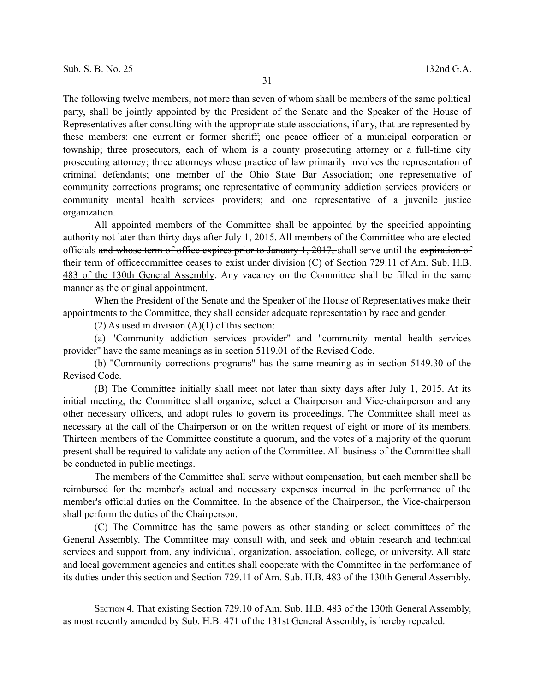The following twelve members, not more than seven of whom shall be members of the same political party, shall be jointly appointed by the President of the Senate and the Speaker of the House of Representatives after consulting with the appropriate state associations, if any, that are represented by these members: one current or former sheriff; one peace officer of a municipal corporation or township; three prosecutors, each of whom is a county prosecuting attorney or a full-time city prosecuting attorney; three attorneys whose practice of law primarily involves the representation of criminal defendants; one member of the Ohio State Bar Association; one representative of community corrections programs; one representative of community addiction services providers or community mental health services providers; and one representative of a juvenile justice organization.

All appointed members of the Committee shall be appointed by the specified appointing authority not later than thirty days after July 1, 2015. All members of the Committee who are elected officials and whose term of office expires prior to January 1, 2017, shall serve until the expiration of their term of office committee ceases to exist under division (C) of Section 729.11 of Am. Sub. H.B. 483 of the 130th General Assembly. Any vacancy on the Committee shall be filled in the same manner as the original appointment.

When the President of the Senate and the Speaker of the House of Representatives make their appointments to the Committee, they shall consider adequate representation by race and gender.

(2) As used in division  $(A)(1)$  of this section:

(a) "Community addiction services provider" and "community mental health services provider" have the same meanings as in section 5119.01 of the Revised Code.

(b) "Community corrections programs" has the same meaning as in section 5149.30 of the Revised Code.

(B) The Committee initially shall meet not later than sixty days after July 1, 2015. At its initial meeting, the Committee shall organize, select a Chairperson and Vice-chairperson and any other necessary officers, and adopt rules to govern its proceedings. The Committee shall meet as necessary at the call of the Chairperson or on the written request of eight or more of its members. Thirteen members of the Committee constitute a quorum, and the votes of a majority of the quorum present shall be required to validate any action of the Committee. All business of the Committee shall be conducted in public meetings.

The members of the Committee shall serve without compensation, but each member shall be reimbursed for the member's actual and necessary expenses incurred in the performance of the member's official duties on the Committee. In the absence of the Chairperson, the Vice-chairperson shall perform the duties of the Chairperson.

(C) The Committee has the same powers as other standing or select committees of the General Assembly. The Committee may consult with, and seek and obtain research and technical services and support from, any individual, organization, association, college, or university. All state and local government agencies and entities shall cooperate with the Committee in the performance of its duties under this section and Section 729.11 of Am. Sub. H.B. 483 of the 130th General Assembly.

SECTION 4. That existing Section 729.10 of Am. Sub. H.B. 483 of the 130th General Assembly, as most recently amended by Sub. H.B. 471 of the 131st General Assembly, is hereby repealed.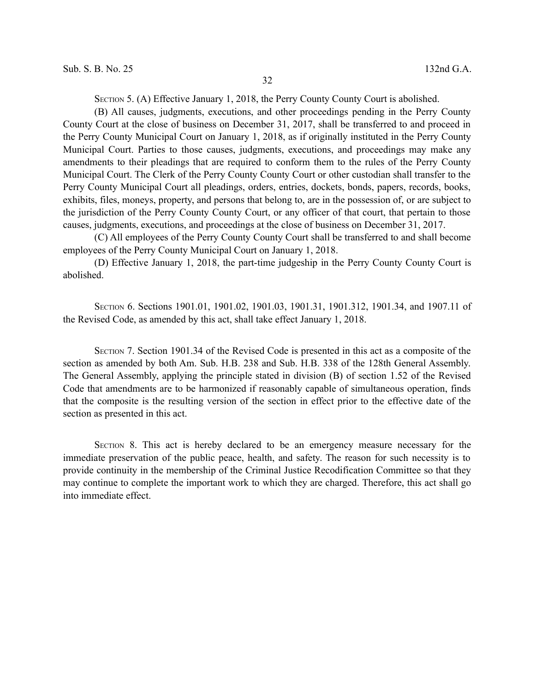SECTION 5. (A) Effective January 1, 2018, the Perry County County Court is abolished.

(B) All causes, judgments, executions, and other proceedings pending in the Perry County County Court at the close of business on December 31, 2017, shall be transferred to and proceed in the Perry County Municipal Court on January 1, 2018, as if originally instituted in the Perry County Municipal Court. Parties to those causes, judgments, executions, and proceedings may make any amendments to their pleadings that are required to conform them to the rules of the Perry County Municipal Court. The Clerk of the Perry County County Court or other custodian shall transfer to the Perry County Municipal Court all pleadings, orders, entries, dockets, bonds, papers, records, books, exhibits, files, moneys, property, and persons that belong to, are in the possession of, or are subject to the jurisdiction of the Perry County County Court, or any officer of that court, that pertain to those causes, judgments, executions, and proceedings at the close of business on December 31, 2017.

(C) All employees of the Perry County County Court shall be transferred to and shall become employees of the Perry County Municipal Court on January 1, 2018.

(D) Effective January 1, 2018, the part-time judgeship in the Perry County County Court is abolished.

SECTION 6. Sections 1901.01, 1901.02, 1901.03, 1901.31, 1901.312, 1901.34, and 1907.11 of the Revised Code, as amended by this act, shall take effect January 1, 2018.

SECTION 7. Section 1901.34 of the Revised Code is presented in this act as a composite of the section as amended by both Am. Sub. H.B. 238 and Sub. H.B. 338 of the 128th General Assembly. The General Assembly, applying the principle stated in division (B) of section 1.52 of the Revised Code that amendments are to be harmonized if reasonably capable of simultaneous operation, finds that the composite is the resulting version of the section in effect prior to the effective date of the section as presented in this act.

SECTION 8. This act is hereby declared to be an emergency measure necessary for the immediate preservation of the public peace, health, and safety. The reason for such necessity is to provide continuity in the membership of the Criminal Justice Recodification Committee so that they may continue to complete the important work to which they are charged. Therefore, this act shall go into immediate effect.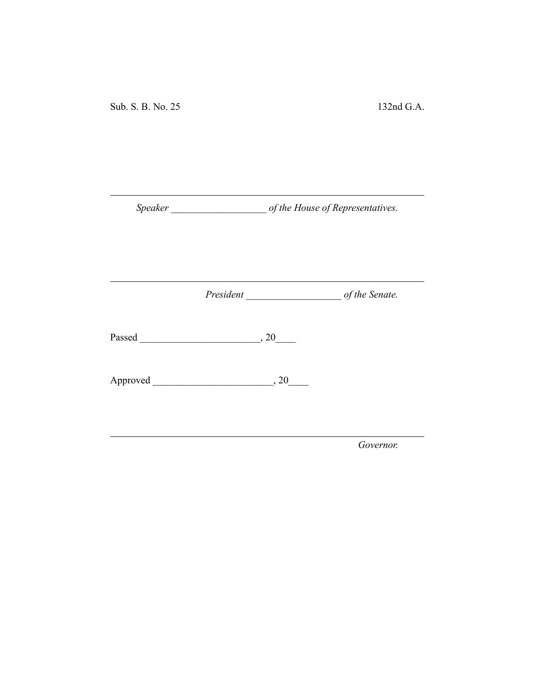|  | Passed 20 20 |           |
|--|--------------|-----------|
|  |              |           |
|  |              |           |
|  |              | Governor. |